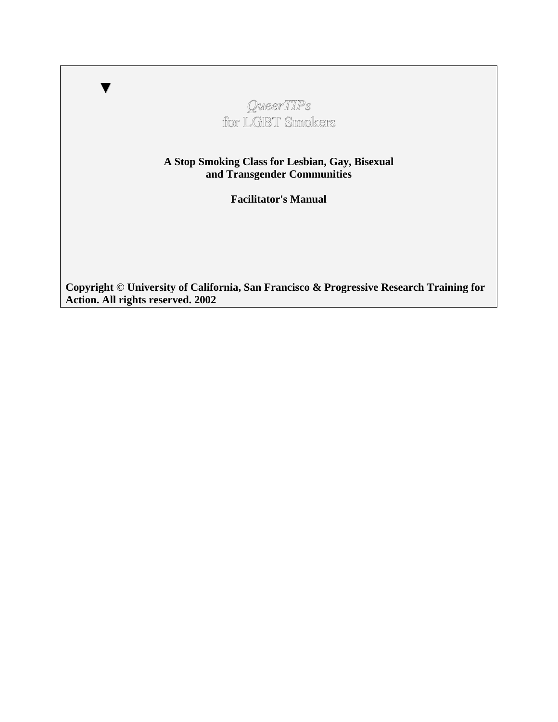# *QueerTIPs* for LGBT Smokers

▼

**A Stop Smoking Class for Lesbian, Gay, Bisexual and Transgender Communities** 

**Facilitator's Manual** 

**Copyright © University of California, San Francisco & Progressive Research Training for Action. All rights reserved. 2002**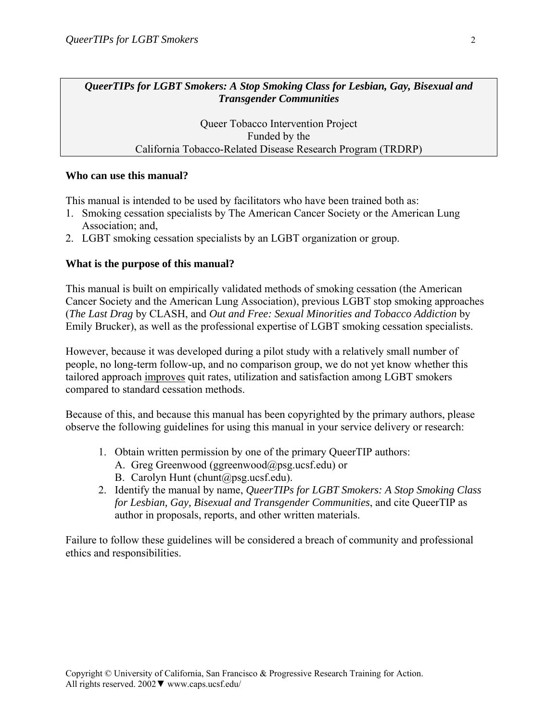*QueerTIPs for LGBT Smokers: A Stop Smoking Class for Lesbian, Gay, Bisexual and Transgender Communities* 

> Queer Tobacco Intervention Project Funded by the California Tobacco-Related Disease Research Program (TRDRP)

#### **Who can use this manual?**

This manual is intended to be used by facilitators who have been trained both as:

- 1. Smoking cessation specialists by The American Cancer Society or the American Lung Association; and,
- 2. LGBT smoking cessation specialists by an LGBT organization or group.

#### **What is the purpose of this manual?**

This manual is built on empirically validated methods of smoking cessation (the American Cancer Society and the American Lung Association), previous LGBT stop smoking approaches (*The Last Drag* by CLASH, and *Out and Free: Sexual Minorities and Tobacco Addiction* by Emily Brucker), as well as the professional expertise of LGBT smoking cessation specialists.

However, because it was developed during a pilot study with a relatively small number of people, no long-term follow-up, and no comparison group, we do not yet know whether this tailored approach improves quit rates, utilization and satisfaction among LGBT smokers compared to standard cessation methods.

Because of this, and because this manual has been copyrighted by the primary authors, please observe the following guidelines for using this manual in your service delivery or research:

- 1. Obtain written permission by one of the primary QueerTIP authors:
	- A. Greg Greenwood (ggreenwood@psg.ucsf.edu) or
	- B. Carolyn Hunt (chunt@psg.ucsf.edu).
- 2. Identify the manual by name, *QueerTIPs for LGBT Smokers: A Stop Smoking Class for Lesbian, Gay, Bisexual and Transgender Communities*, and cite QueerTIP as author in proposals, reports, and other written materials.

Failure to follow these guidelines will be considered a breach of community and professional ethics and responsibilities.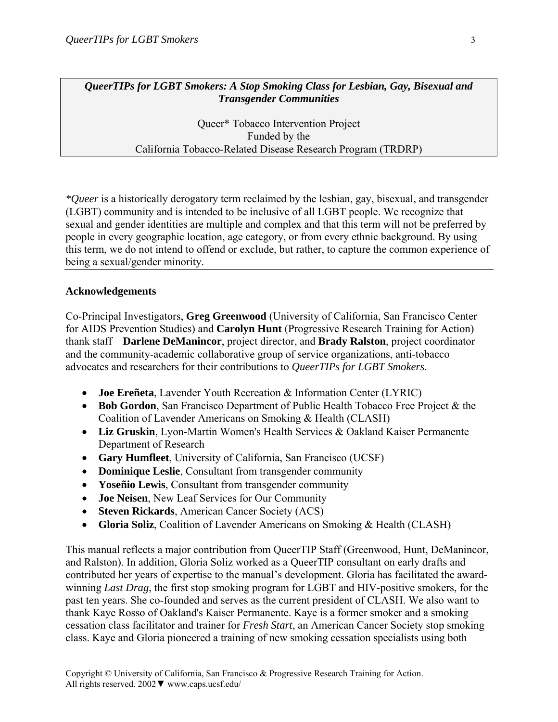*QueerTIPs for LGBT Smokers: A Stop Smoking Class for Lesbian, Gay, Bisexual and Transgender Communities* 

> Queer\* Tobacco Intervention Project Funded by the California Tobacco-Related Disease Research Program (TRDRP)

*\*Queer* is a historically derogatory term reclaimed by the lesbian, gay, bisexual, and transgender (LGBT) community and is intended to be inclusive of all LGBT people. We recognize that sexual and gender identities are multiple and complex and that this term will not be preferred by people in every geographic location, age category, or from every ethnic background. By using this term, we do not intend to offend or exclude, but rather, to capture the common experience of being a sexual/gender minority.

#### **Acknowledgements**

Co-Principal Investigators, **Greg Greenwood** (University of California, San Francisco Center for AIDS Prevention Studies) and **Carolyn Hunt** (Progressive Research Training for Action) thank staff—**Darlene DeManincor**, project director, and **Brady Ralston**, project coordinator and the community-academic collaborative group of service organizations, anti-tobacco advocates and researchers for their contributions to *QueerTIPs for LGBT Smokers*.

- **Joe Ereñeta**, Lavender Youth Recreation & Information Center (LYRIC)
- **Bob Gordon**, San Francisco Department of Public Health Tobacco Free Project & the Coalition of Lavender Americans on Smoking & Health (CLASH)
- **Liz Gruskin**, Lyon-Martin Women's Health Services & Oakland Kaiser Permanente Department of Research
- **Gary Humfleet**, University of California, San Francisco (UCSF)
- **Dominique Leslie**, Consultant from transgender community
- **Yoseñio Lewis**, Consultant from transgender community
- **Joe Neisen**, New Leaf Services for Our Community
- **Steven Rickards**, American Cancer Society (ACS)
- **Gloria Soliz**, Coalition of Lavender Americans on Smoking & Health (CLASH)

This manual reflects a major contribution from QueerTIP Staff (Greenwood, Hunt, DeManincor, and Ralston). In addition, Gloria Soliz worked as a QueerTIP consultant on early drafts and contributed her years of expertise to the manual's development. Gloria has facilitated the awardwinning *Last Drag*, the first stop smoking program for LGBT and HIV-positive smokers, for the past ten years. She co-founded and serves as the current president of CLASH. We also want to thank Kaye Rosso of Oakland's Kaiser Permanente. Kaye is a former smoker and a smoking cessation class facilitator and trainer for *Fresh Start*, an American Cancer Society stop smoking class. Kaye and Gloria pioneered a training of new smoking cessation specialists using both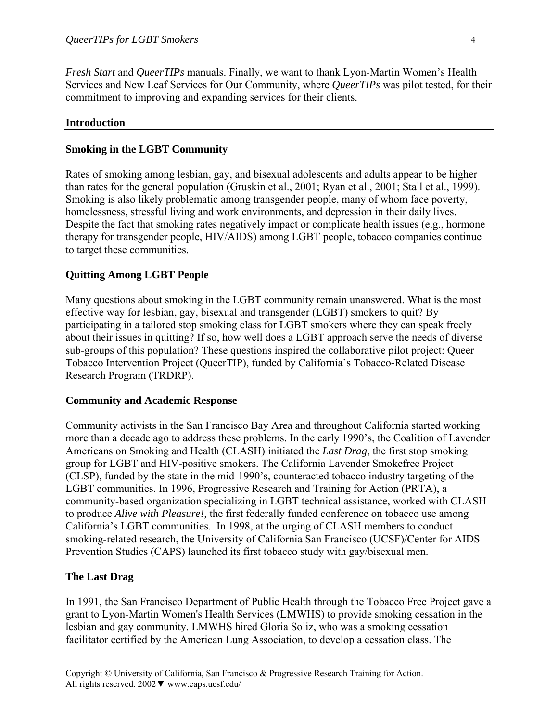*Fresh Start* and *QueerTIPs* manuals. Finally, we want to thank Lyon-Martin Women's Health Services and New Leaf Services for Our Community, where *QueerTIPs* was pilot tested, for their commitment to improving and expanding services for their clients.

#### **Introduction**

#### **Smoking in the LGBT Community**

Rates of smoking among lesbian, gay, and bisexual adolescents and adults appear to be higher than rates for the general population (Gruskin et al., 2001; Ryan et al., 2001; Stall et al., 1999). Smoking is also likely problematic among transgender people, many of whom face poverty, homelessness, stressful living and work environments, and depression in their daily lives. Despite the fact that smoking rates negatively impact or complicate health issues (e.g., hormone therapy for transgender people, HIV/AIDS) among LGBT people, tobacco companies continue to target these communities.

#### **Quitting Among LGBT People**

Many questions about smoking in the LGBT community remain unanswered. What is the most effective way for lesbian, gay, bisexual and transgender (LGBT) smokers to quit? By participating in a tailored stop smoking class for LGBT smokers where they can speak freely about their issues in quitting? If so, how well does a LGBT approach serve the needs of diverse sub-groups of this population? These questions inspired the collaborative pilot project: Queer Tobacco Intervention Project (QueerTIP), funded by California's Tobacco-Related Disease Research Program (TRDRP).

#### **Community and Academic Response**

Community activists in the San Francisco Bay Area and throughout California started working more than a decade ago to address these problems. In the early 1990's, the Coalition of Lavender Americans on Smoking and Health (CLASH) initiated the *Last Drag*, the first stop smoking group for LGBT and HIV-positive smokers. The California Lavender Smokefree Project (CLSP), funded by the state in the mid-1990's, counteracted tobacco industry targeting of the LGBT communities. In 1996, Progressive Research and Training for Action (PRTA), a community-based organization specializing in LGBT technical assistance, worked with CLASH to produce *Alive with Pleasure!,* the first federally funded conference on tobacco use among California's LGBT communities. In 1998, at the urging of CLASH members to conduct smoking-related research, the University of California San Francisco (UCSF)/Center for AIDS Prevention Studies (CAPS) launched its first tobacco study with gay/bisexual men.

#### **The Last Drag**

In 1991, the San Francisco Department of Public Health through the Tobacco Free Project gave a grant to Lyon-Martin Women's Health Services (LMWHS) to provide smoking cessation in the lesbian and gay community. LMWHS hired Gloria Soliz, who was a smoking cessation facilitator certified by the American Lung Association, to develop a cessation class. The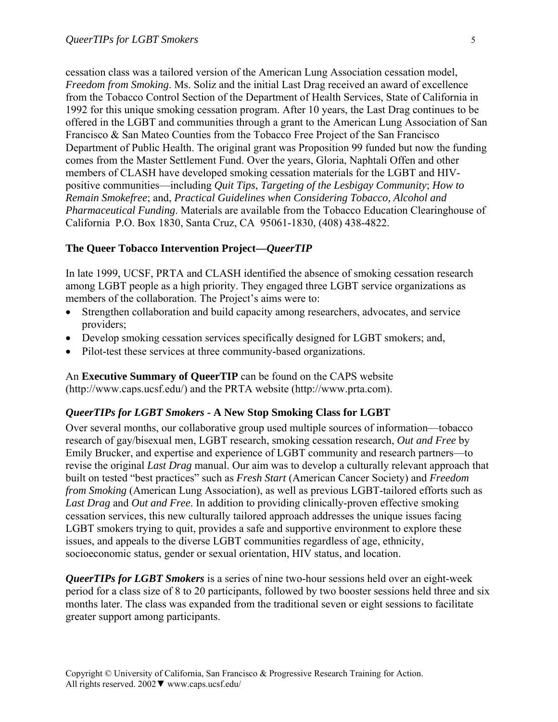cessation class was a tailored version of the American Lung Association cessation model, *Freedom from Smoking*. Ms. Soliz and the initial Last Drag received an award of excellence from the Tobacco Control Section of the Department of Health Services, State of California in 1992 for this unique smoking cessation program. After 10 years, the Last Drag continues to be offered in the LGBT and communities through a grant to the American Lung Association of San Francisco & San Mateo Counties from the Tobacco Free Project of the San Francisco Department of Public Health. The original grant was Proposition 99 funded but now the funding comes from the Master Settlement Fund. Over the years, Gloria, Naphtali Offen and other members of CLASH have developed smoking cessation materials for the LGBT and HIVpositive communities—including *Quit Tips*, *Targeting of the Lesbigay Community*; *How to Remain Smokefree*; and, *Practical Guidelines when Considering Tobacco, Alcohol and Pharmaceutical Funding*. Materials are available from the Tobacco Education Clearinghouse of California P.O. Box 1830, Santa Cruz, CA 95061-1830, (408) 438-4822.

#### **The Queer Tobacco Intervention Project—***QueerTIP*

In late 1999, UCSF, PRTA and CLASH identified the absence of smoking cessation research among LGBT people as a high priority. They engaged three LGBT service organizations as members of the collaboration. The Project's aims were to:

- Strengthen collaboration and build capacity among researchers, advocates, and service providers;
- Develop smoking cessation services specifically designed for LGBT smokers; and,
- Pilot-test these services at three community-based organizations.

An **Executive Summary of QueerTIP** can be found on the CAPS website (http://www.caps.ucsf.edu/) and the PRTA website (http://www.prta.com).

#### *QueerTIPs for LGBT Smokers -* **A New Stop Smoking Class for LGBT**

Over several months, our collaborative group used multiple sources of information—tobacco research of gay/bisexual men, LGBT research, smoking cessation research, *Out and Free* by Emily Brucker, and expertise and experience of LGBT community and research partners—to revise the original *Last Drag* manual. Our aim was to develop a culturally relevant approach that built on tested "best practices" such as *Fresh Start* (American Cancer Society) and *Freedom from Smoking* (American Lung Association), as well as previous LGBT-tailored efforts such as *Last Drag* and *Out and Free*. In addition to providing clinically-proven effective smoking cessation services, this new culturally tailored approach addresses the unique issues facing LGBT smokers trying to quit, provides a safe and supportive environment to explore these issues, and appeals to the diverse LGBT communities regardless of age, ethnicity, socioeconomic status, gender or sexual orientation, HIV status, and location.

*QueerTIPs for LGBT Smokers* is a series of nine two-hour sessions held over an eight-week period for a class size of 8 to 20 participants, followed by two booster sessions held three and six months later. The class was expanded from the traditional seven or eight sessions to facilitate greater support among participants.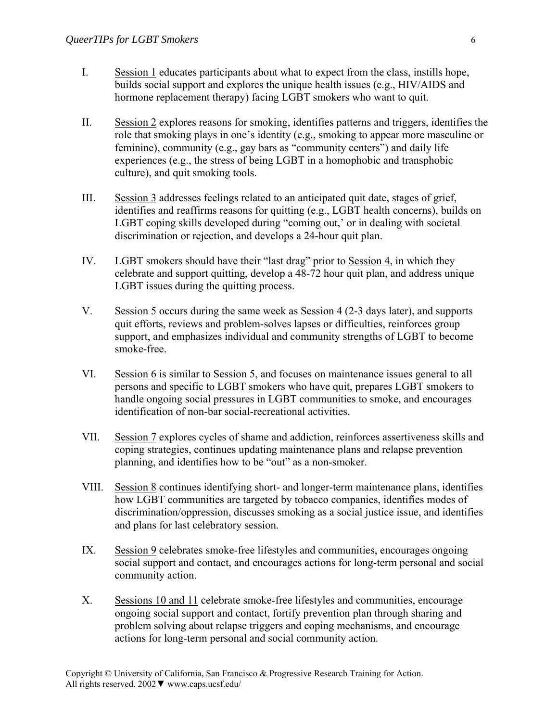- I. Session 1 educates participants about what to expect from the class, instills hope, builds social support and explores the unique health issues (e.g., HIV/AIDS and hormone replacement therapy) facing LGBT smokers who want to quit.
- II. Session 2 explores reasons for smoking, identifies patterns and triggers, identifies the role that smoking plays in one's identity (e.g., smoking to appear more masculine or feminine), community (e.g., gay bars as "community centers") and daily life experiences (e.g., the stress of being LGBT in a homophobic and transphobic culture), and quit smoking tools.
- III. Session 3 addresses feelings related to an anticipated quit date, stages of grief, identifies and reaffirms reasons for quitting (e.g., LGBT health concerns), builds on LGBT coping skills developed during "coming out,' or in dealing with societal discrimination or rejection, and develops a 24-hour quit plan.
- IV. LGBT smokers should have their "last drag" prior to Session 4, in which they celebrate and support quitting, develop a 48-72 hour quit plan, and address unique LGBT issues during the quitting process.
- V. Session 5 occurs during the same week as Session 4 (2-3 days later), and supports quit efforts, reviews and problem-solves lapses or difficulties, reinforces group support, and emphasizes individual and community strengths of LGBT to become smoke-free.
- VI. Session 6 is similar to Session 5, and focuses on maintenance issues general to all persons and specific to LGBT smokers who have quit, prepares LGBT smokers to handle ongoing social pressures in LGBT communities to smoke, and encourages identification of non-bar social-recreational activities.
- VII. Session 7 explores cycles of shame and addiction, reinforces assertiveness skills and coping strategies, continues updating maintenance plans and relapse prevention planning, and identifies how to be "out" as a non-smoker.
- VIII. Session 8 continues identifying short- and longer-term maintenance plans, identifies how LGBT communities are targeted by tobacco companies, identifies modes of discrimination/oppression, discusses smoking as a social justice issue, and identifies and plans for last celebratory session.
- IX. Session 9 celebrates smoke-free lifestyles and communities, encourages ongoing social support and contact, and encourages actions for long-term personal and social community action.
- X. Sessions 10 and 11 celebrate smoke-free lifestyles and communities, encourage ongoing social support and contact, fortify prevention plan through sharing and problem solving about relapse triggers and coping mechanisms, and encourage actions for long-term personal and social community action.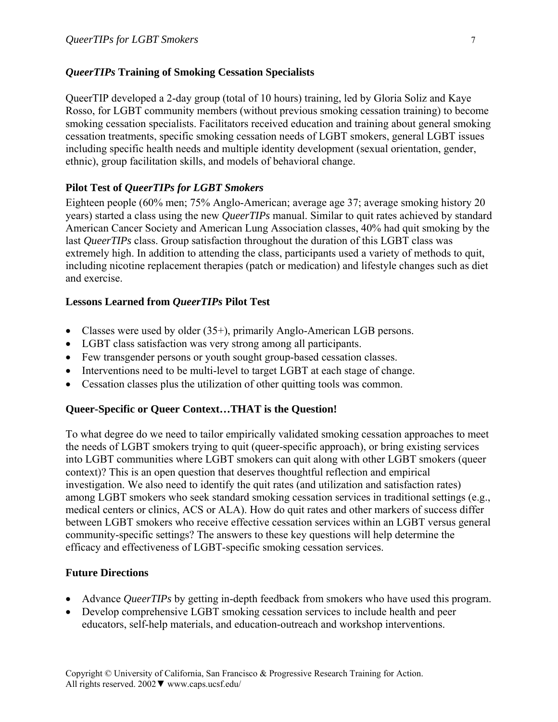### *QueerTIPs* **Training of Smoking Cessation Specialists**

QueerTIP developed a 2-day group (total of 10 hours) training, led by Gloria Soliz and Kaye Rosso, for LGBT community members (without previous smoking cessation training) to become smoking cessation specialists. Facilitators received education and training about general smoking cessation treatments, specific smoking cessation needs of LGBT smokers, general LGBT issues including specific health needs and multiple identity development (sexual orientation, gender, ethnic), group facilitation skills, and models of behavioral change.

# **Pilot Test of** *QueerTIPs for LGBT Smokers*

Eighteen people (60% men; 75% Anglo-American; average age 37; average smoking history 20 years) started a class using the new *QueerTIPs* manual. Similar to quit rates achieved by standard American Cancer Society and American Lung Association classes, 40% had quit smoking by the last *QueerTIPs* class. Group satisfaction throughout the duration of this LGBT class was extremely high. In addition to attending the class, participants used a variety of methods to quit, including nicotine replacement therapies (patch or medication) and lifestyle changes such as diet and exercise.

### **Lessons Learned from** *QueerTIPs* **Pilot Test**

- Classes were used by older (35+), primarily Anglo-American LGB persons.
- LGBT class satisfaction was very strong among all participants.
- Few transgender persons or youth sought group-based cessation classes.
- Interventions need to be multi-level to target LGBT at each stage of change.
- Cessation classes plus the utilization of other quitting tools was common.

# **Queer-Specific or Queer Context…THAT is the Question!**

To what degree do we need to tailor empirically validated smoking cessation approaches to meet the needs of LGBT smokers trying to quit (queer-specific approach), or bring existing services into LGBT communities where LGBT smokers can quit along with other LGBT smokers (queer context)? This is an open question that deserves thoughtful reflection and empirical investigation. We also need to identify the quit rates (and utilization and satisfaction rates) among LGBT smokers who seek standard smoking cessation services in traditional settings (e.g., medical centers or clinics, ACS or ALA). How do quit rates and other markers of success differ between LGBT smokers who receive effective cessation services within an LGBT versus general community-specific settings? The answers to these key questions will help determine the efficacy and effectiveness of LGBT-specific smoking cessation services.

### **Future Directions**

- Advance *QueerTIPs* by getting in-depth feedback from smokers who have used this program.
- Develop comprehensive LGBT smoking cessation services to include health and peer educators, self-help materials, and education-outreach and workshop interventions.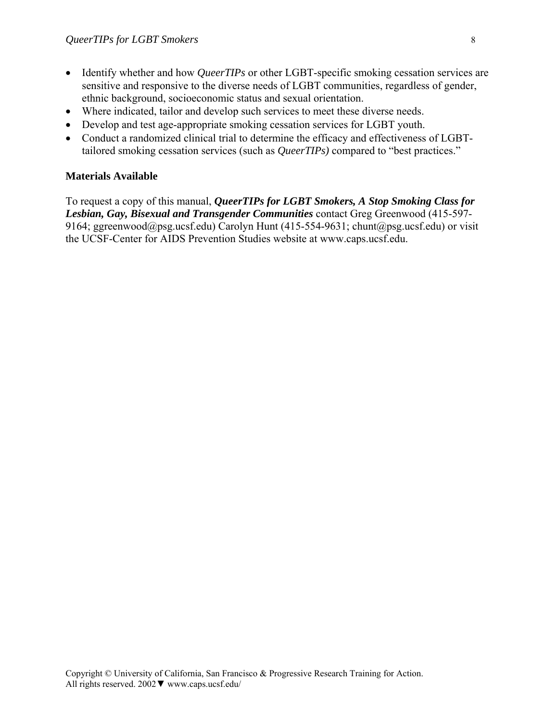- Identify whether and how *QueerTIPs* or other LGBT-specific smoking cessation services are sensitive and responsive to the diverse needs of LGBT communities, regardless of gender, ethnic background, socioeconomic status and sexual orientation.
- Where indicated, tailor and develop such services to meet these diverse needs.
- Develop and test age-appropriate smoking cessation services for LGBT youth.
- Conduct a randomized clinical trial to determine the efficacy and effectiveness of LGBTtailored smoking cessation services (such as *QueerTIPs)* compared to "best practices."

### **Materials Available**

To request a copy of this manual, *QueerTIPs for LGBT Smokers, A Stop Smoking Class for Lesbian, Gay, Bisexual and Transgender Communities* contact Greg Greenwood (415-597- 9164; ggreenwood@psg.ucsf.edu) Carolyn Hunt (415-554-9631; chunt@psg.ucsf.edu) or visit the UCSF-Center for AIDS Prevention Studies website at www.caps.ucsf.edu.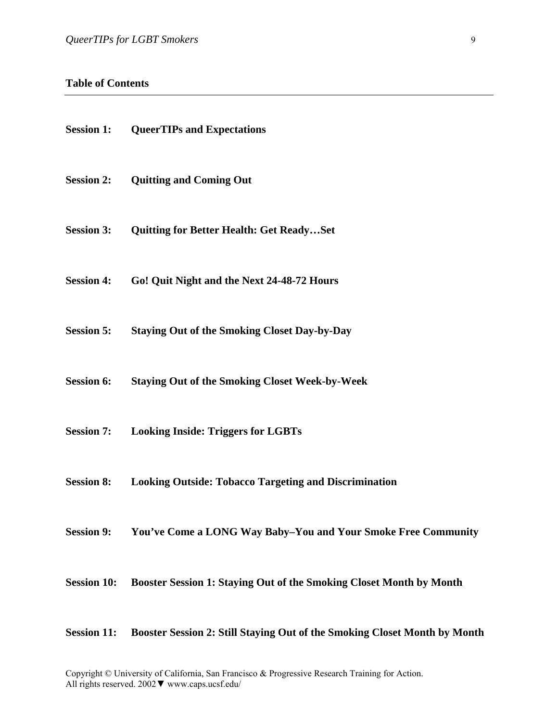#### **Table of Contents**

| <b>Session 1:</b>  | <b>QueerTIPs and Expectations</b>                                                            |
|--------------------|----------------------------------------------------------------------------------------------|
| <b>Session 2:</b>  | <b>Quitting and Coming Out</b>                                                               |
| <b>Session 3:</b>  | <b>Quitting for Better Health: Get ReadySet</b>                                              |
| <b>Session 4:</b>  | Go! Quit Night and the Next 24-48-72 Hours                                                   |
| <b>Session 5:</b>  | <b>Staying Out of the Smoking Closet Day-by-Day</b>                                          |
| <b>Session 6:</b>  | <b>Staying Out of the Smoking Closet Week-by-Week</b>                                        |
| <b>Session 7:</b>  | <b>Looking Inside: Triggers for LGBTs</b>                                                    |
| <b>Session 8:</b>  | <b>Looking Outside: Tobacco Targeting and Discrimination</b>                                 |
|                    | Session 9: You've Come a LONG Way Baby-You and Your Smoke Free Community                     |
| <b>Session 10:</b> | Booster Session 1: Staying Out of the Smoking Closet Month by Month                          |
|                    | <b>Cossion 11. Boostor Cossion 2. Ctill Stoving Out of the Smoking Closet Month by Month</b> |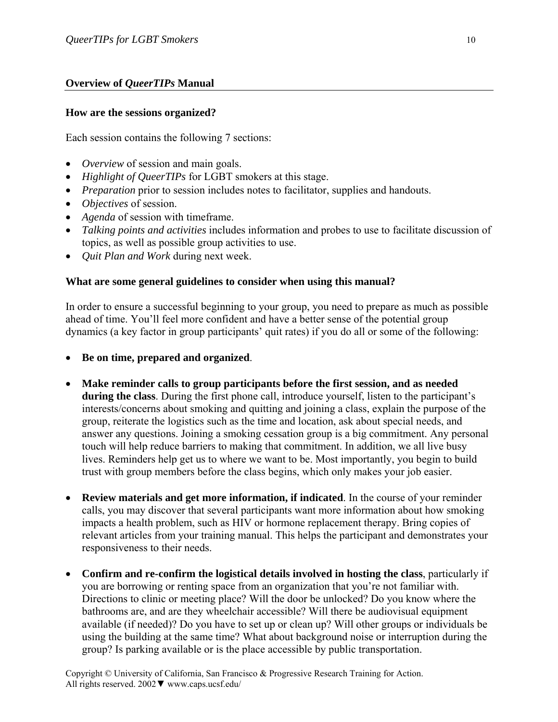### **Overview of** *QueerTIPs* **Manual**

#### **How are the sessions organized?**

Each session contains the following 7 sections:

- *Overview* of session and main goals.
- *Highlight of QueerTIPs* for LGBT smokers at this stage.
- *Preparation* prior to session includes notes to facilitator, supplies and handouts.
- *Objectives* of session.
- *Agenda* of session with timeframe.
- *Talking points and activities* includes information and probes to use to facilitate discussion of topics, as well as possible group activities to use.
- *Quit Plan and Work* during next week.

#### **What are some general guidelines to consider when using this manual?**

In order to ensure a successful beginning to your group, you need to prepare as much as possible ahead of time. You'll feel more confident and have a better sense of the potential group dynamics (a key factor in group participants' quit rates) if you do all or some of the following:

- **Be on time, prepared and organized**.
- **Make reminder calls to group participants before the first session, and as needed during the class**. During the first phone call, introduce yourself, listen to the participant's interests/concerns about smoking and quitting and joining a class, explain the purpose of the group, reiterate the logistics such as the time and location, ask about special needs, and answer any questions. Joining a smoking cessation group is a big commitment. Any personal touch will help reduce barriers to making that commitment. In addition, we all live busy lives. Reminders help get us to where we want to be. Most importantly, you begin to build trust with group members before the class begins, which only makes your job easier.
- **Review materials and get more information, if indicated**. In the course of your reminder calls, you may discover that several participants want more information about how smoking impacts a health problem, such as HIV or hormone replacement therapy. Bring copies of relevant articles from your training manual. This helps the participant and demonstrates your responsiveness to their needs.
- **Confirm and re-confirm the logistical details involved in hosting the class**, particularly if you are borrowing or renting space from an organization that you're not familiar with. Directions to clinic or meeting place? Will the door be unlocked? Do you know where the bathrooms are, and are they wheelchair accessible? Will there be audiovisual equipment available (if needed)? Do you have to set up or clean up? Will other groups or individuals be using the building at the same time? What about background noise or interruption during the group? Is parking available or is the place accessible by public transportation.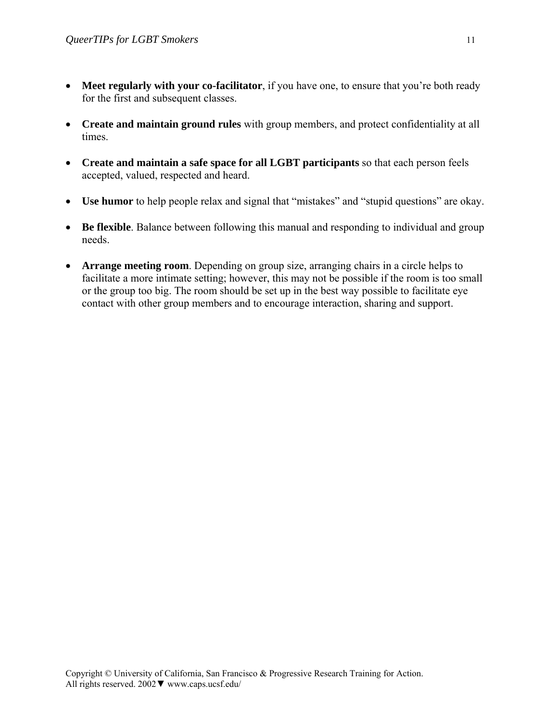- Meet regularly with your co-facilitator, if you have one, to ensure that you're both ready for the first and subsequent classes.
- **Create and maintain ground rules** with group members, and protect confidentiality at all times.
- **Create and maintain a safe space for all LGBT participants** so that each person feels accepted, valued, respected and heard.
- **Use humor** to help people relax and signal that "mistakes" and "stupid questions" are okay.
- **Be flexible**. Balance between following this manual and responding to individual and group needs.
- **Arrange meeting room**. Depending on group size, arranging chairs in a circle helps to facilitate a more intimate setting; however, this may not be possible if the room is too small or the group too big. The room should be set up in the best way possible to facilitate eye contact with other group members and to encourage interaction, sharing and support.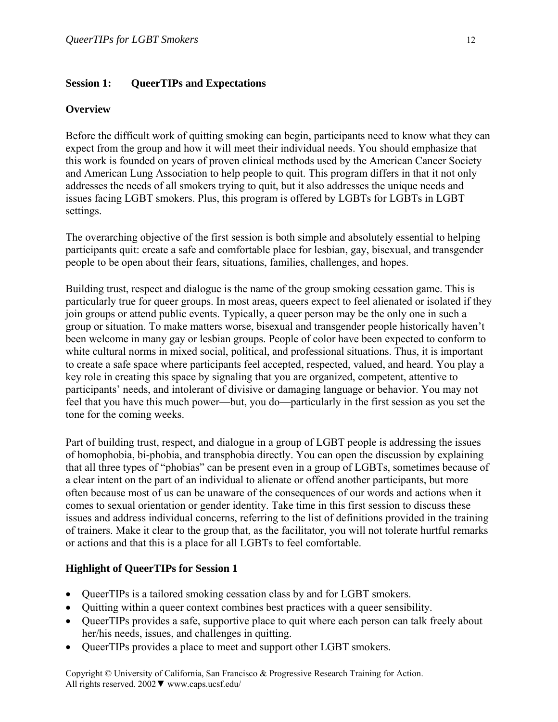#### **Session 1: QueerTIPs and Expectations**

#### **Overview**

Before the difficult work of quitting smoking can begin, participants need to know what they can expect from the group and how it will meet their individual needs. You should emphasize that this work is founded on years of proven clinical methods used by the American Cancer Society and American Lung Association to help people to quit. This program differs in that it not only addresses the needs of all smokers trying to quit, but it also addresses the unique needs and issues facing LGBT smokers. Plus, this program is offered by LGBTs for LGBTs in LGBT settings.

The overarching objective of the first session is both simple and absolutely essential to helping participants quit: create a safe and comfortable place for lesbian, gay, bisexual, and transgender people to be open about their fears, situations, families, challenges, and hopes.

Building trust, respect and dialogue is the name of the group smoking cessation game. This is particularly true for queer groups. In most areas, queers expect to feel alienated or isolated if they join groups or attend public events. Typically, a queer person may be the only one in such a group or situation. To make matters worse, bisexual and transgender people historically haven't been welcome in many gay or lesbian groups. People of color have been expected to conform to white cultural norms in mixed social, political, and professional situations. Thus, it is important to create a safe space where participants feel accepted, respected, valued, and heard. You play a key role in creating this space by signaling that you are organized, competent, attentive to participants' needs, and intolerant of divisive or damaging language or behavior. You may not feel that you have this much power—but, you do—particularly in the first session as you set the tone for the coming weeks.

Part of building trust, respect, and dialogue in a group of LGBT people is addressing the issues of homophobia, bi-phobia, and transphobia directly. You can open the discussion by explaining that all three types of "phobias" can be present even in a group of LGBTs, sometimes because of a clear intent on the part of an individual to alienate or offend another participants, but more often because most of us can be unaware of the consequences of our words and actions when it comes to sexual orientation or gender identity. Take time in this first session to discuss these issues and address individual concerns, referring to the list of definitions provided in the training of trainers. Make it clear to the group that, as the facilitator, you will not tolerate hurtful remarks or actions and that this is a place for all LGBTs to feel comfortable.

#### **Highlight of QueerTIPs for Session 1**

- QueerTIPs is a tailored smoking cessation class by and for LGBT smokers.
- Quitting within a queer context combines best practices with a queer sensibility.
- QueerTIPs provides a safe, supportive place to quit where each person can talk freely about her/his needs, issues, and challenges in quitting.
- QueerTIPs provides a place to meet and support other LGBT smokers.

Copyright © University of California, San Francisco & Progressive Research Training for Action. All rights reserved. 2002▼ www.caps.ucsf.edu/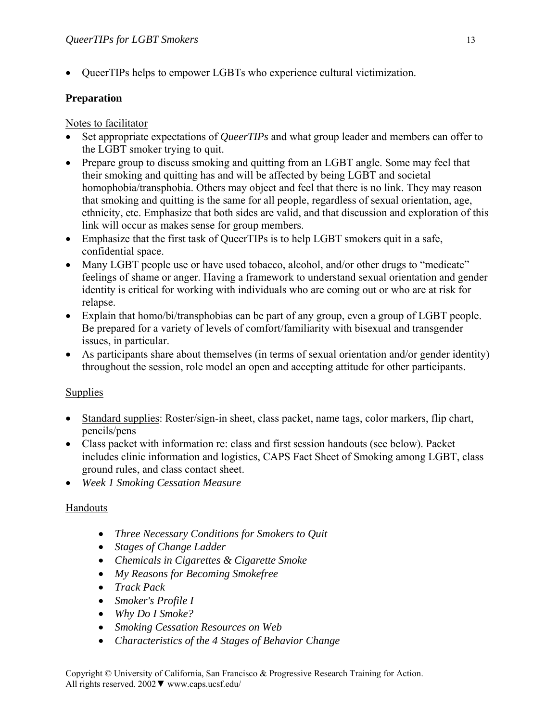• QueerTIPs helps to empower LGBTs who experience cultural victimization.

# **Preparation**

Notes to facilitator

- Set appropriate expectations of *QueerTIPs* and what group leader and members can offer to the LGBT smoker trying to quit.
- Prepare group to discuss smoking and quitting from an LGBT angle. Some may feel that their smoking and quitting has and will be affected by being LGBT and societal homophobia/transphobia. Others may object and feel that there is no link. They may reason that smoking and quitting is the same for all people, regardless of sexual orientation, age, ethnicity, etc. Emphasize that both sides are valid, and that discussion and exploration of this link will occur as makes sense for group members.
- Emphasize that the first task of QueerTIPs is to help LGBT smokers quit in a safe, confidential space.
- Many LGBT people use or have used tobacco, alcohol, and/or other drugs to "medicate" feelings of shame or anger. Having a framework to understand sexual orientation and gender identity is critical for working with individuals who are coming out or who are at risk for relapse.
- Explain that homo/bi/transphobias can be part of any group, even a group of LGBT people. Be prepared for a variety of levels of comfort/familiarity with bisexual and transgender issues, in particular.
- As participants share about themselves (in terms of sexual orientation and/or gender identity) throughout the session, role model an open and accepting attitude for other participants.

# **Supplies**

- Standard supplies: Roster/sign-in sheet, class packet, name tags, color markers, flip chart, pencils/pens
- Class packet with information re: class and first session handouts (see below). Packet includes clinic information and logistics, CAPS Fact Sheet of Smoking among LGBT, class ground rules, and class contact sheet.
- *Week 1 Smoking Cessation Measure*

# Handouts

- *Three Necessary Conditions for Smokers to Quit*
- *Stages of Change Ladder*
- *Chemicals in Cigarettes & Cigarette Smoke*
- *My Reasons for Becoming Smokefree*
- *Track Pack*
- *Smoker's Profile I*
- *Why Do I Smoke?*
- *Smoking Cessation Resources on Web*
- *Characteristics of the 4 Stages of Behavior Change*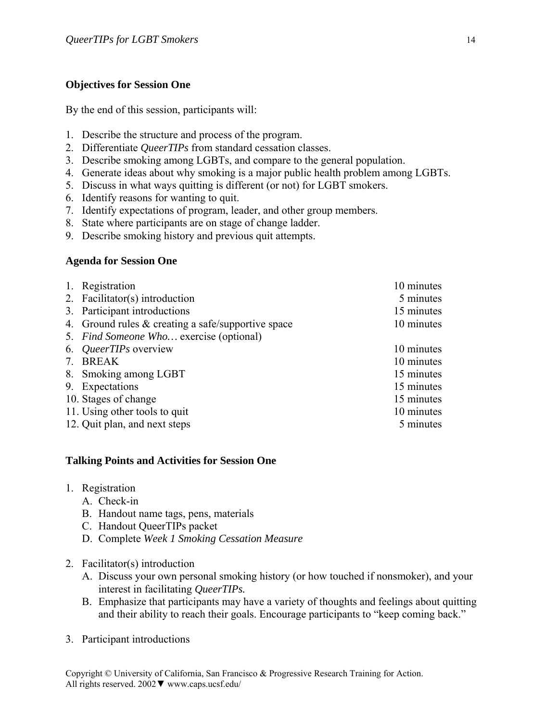### **Objectives for Session One**

By the end of this session, participants will:

- 1. Describe the structure and process of the program.
- 2. Differentiate *QueerTIPs* from standard cessation classes.
- 3. Describe smoking among LGBTs, and compare to the general population.
- 4. Generate ideas about why smoking is a major public health problem among LGBTs.
- 5. Discuss in what ways quitting is different (or not) for LGBT smokers.
- 6. Identify reasons for wanting to quit.
- 7. Identify expectations of program, leader, and other group members.
- 8. State where participants are on stage of change ladder.
- 9. Describe smoking history and previous quit attempts.

### **Agenda for Session One**

| 1. | Registration                                         | 10 minutes |
|----|------------------------------------------------------|------------|
|    | 2. Facilitator(s) introduction                       | 5 minutes  |
|    | 3. Participant introductions                         | 15 minutes |
|    | 4. Ground rules $&$ creating a safe/supportive space | 10 minutes |
|    | 5. Find Someone Who exercise (optional)              |            |
|    | 6. QueerTIPs overview                                | 10 minutes |
|    | 7. BREAK                                             | 10 minutes |
|    | 8. Smoking among LGBT                                | 15 minutes |
|    | 9. Expectations                                      | 15 minutes |
|    | 10. Stages of change                                 | 15 minutes |
|    | 11. Using other tools to quit                        | 10 minutes |
|    | 12. Quit plan, and next steps                        | 5 minutes  |

### **Talking Points and Activities for Session One**

- 1. Registration
	- A. Check-in
	- B. Handout name tags, pens, materials
	- C. Handout QueerTIPs packet
	- D. Complete *Week 1 Smoking Cessation Measure*
- 2. Facilitator(s) introduction
	- A. Discuss your own personal smoking history (or how touched if nonsmoker), and your interest in facilitating *QueerTIPs.*
	- B. Emphasize that participants may have a variety of thoughts and feelings about quitting and their ability to reach their goals. Encourage participants to "keep coming back."
- 3. Participant introductions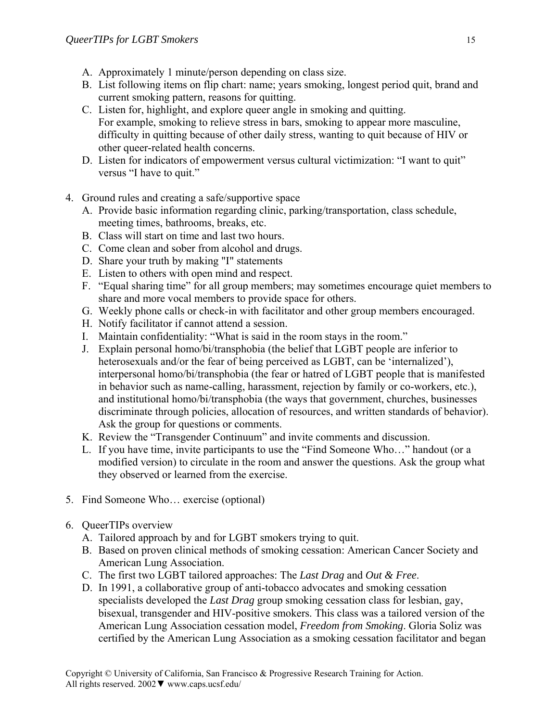- A. Approximately 1 minute/person depending on class size.
- B. List following items on flip chart: name; years smoking, longest period quit, brand and current smoking pattern, reasons for quitting.
- C. Listen for, highlight, and explore queer angle in smoking and quitting. For example, smoking to relieve stress in bars, smoking to appear more masculine, difficulty in quitting because of other daily stress, wanting to quit because of HIV or other queer-related health concerns.
- D. Listen for indicators of empowerment versus cultural victimization: "I want to quit" versus "I have to quit."
- 4. Ground rules and creating a safe/supportive space
	- A. Provide basic information regarding clinic, parking/transportation, class schedule, meeting times, bathrooms, breaks, etc.
	- B. Class will start on time and last two hours.
	- C. Come clean and sober from alcohol and drugs.
	- D. Share your truth by making "I" statements
	- E. Listen to others with open mind and respect.
	- F. "Equal sharing time" for all group members; may sometimes encourage quiet members to share and more vocal members to provide space for others.
	- G. Weekly phone calls or check-in with facilitator and other group members encouraged.
	- H. Notify facilitator if cannot attend a session.
	- I. Maintain confidentiality: "What is said in the room stays in the room."
	- J. Explain personal homo/bi/transphobia (the belief that LGBT people are inferior to heterosexuals and/or the fear of being perceived as LGBT, can be 'internalized'), interpersonal homo/bi/transphobia (the fear or hatred of LGBT people that is manifested in behavior such as name-calling, harassment, rejection by family or co-workers, etc.), and institutional homo/bi/transphobia (the ways that government, churches, businesses discriminate through policies, allocation of resources, and written standards of behavior). Ask the group for questions or comments.
	- K. Review the "Transgender Continuum" and invite comments and discussion.
	- L. If you have time, invite participants to use the "Find Someone Who…" handout (or a modified version) to circulate in the room and answer the questions. Ask the group what they observed or learned from the exercise.
- 5. Find Someone Who… exercise (optional)
- 6. QueerTIPs overview
	- A. Tailored approach by and for LGBT smokers trying to quit.
	- B. Based on proven clinical methods of smoking cessation: American Cancer Society and American Lung Association.
	- C. The first two LGBT tailored approaches: The *Last Drag* and *Out & Free*.
	- D. In 1991, a collaborative group of anti-tobacco advocates and smoking cessation specialists developed the *Last Drag* group smoking cessation class for lesbian, gay, bisexual, transgender and HIV-positive smokers. This class was a tailored version of the American Lung Association cessation model, *Freedom from Smoking*. Gloria Soliz was certified by the American Lung Association as a smoking cessation facilitator and began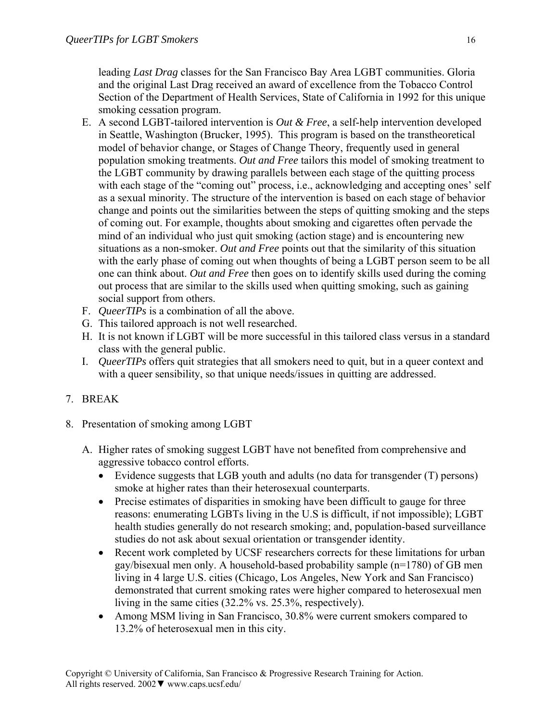leading *Last Drag* classes for the San Francisco Bay Area LGBT communities. Gloria and the original Last Drag received an award of excellence from the Tobacco Control Section of the Department of Health Services, State of California in 1992 for this unique smoking cessation program.

- E. A second LGBT-tailored intervention is *Out & Free*, a self-help intervention developed in Seattle, Washington (Brucker, 1995). This program is based on the transtheoretical model of behavior change, or Stages of Change Theory, frequently used in general population smoking treatments. *Out and Free* tailors this model of smoking treatment to the LGBT community by drawing parallels between each stage of the quitting process with each stage of the "coming out" process, i.e., acknowledging and accepting ones' self as a sexual minority. The structure of the intervention is based on each stage of behavior change and points out the similarities between the steps of quitting smoking and the steps of coming out. For example, thoughts about smoking and cigarettes often pervade the mind of an individual who just quit smoking (action stage) and is encountering new situations as a non-smoker. *Out and Free* points out that the similarity of this situation with the early phase of coming out when thoughts of being a LGBT person seem to be all one can think about. *Out and Free* then goes on to identify skills used during the coming out process that are similar to the skills used when quitting smoking, such as gaining social support from others.
- F. *QueerTIPs* is a combination of all the above.
- G. This tailored approach is not well researched.
- H. It is not known if LGBT will be more successful in this tailored class versus in a standard class with the general public.
- I. *QueerTIPs* offers quit strategies that all smokers need to quit, but in a queer context and with a queer sensibility, so that unique needs/issues in quitting are addressed.
- 7. BREAK
- 8. Presentation of smoking among LGBT
	- A. Higher rates of smoking suggest LGBT have not benefited from comprehensive and aggressive tobacco control efforts.
		- Evidence suggests that LGB youth and adults (no data for transgender (T) persons) smoke at higher rates than their heterosexual counterparts.
		- Precise estimates of disparities in smoking have been difficult to gauge for three reasons: enumerating LGBTs living in the U.S is difficult, if not impossible); LGBT health studies generally do not research smoking; and, population-based surveillance studies do not ask about sexual orientation or transgender identity.
		- Recent work completed by UCSF researchers corrects for these limitations for urban gay/bisexual men only. A household-based probability sample (n=1780) of GB men living in 4 large U.S. cities (Chicago, Los Angeles, New York and San Francisco) demonstrated that current smoking rates were higher compared to heterosexual men living in the same cities (32.2% vs. 25.3%, respectively).
		- Among MSM living in San Francisco, 30.8% were current smokers compared to 13.2% of heterosexual men in this city.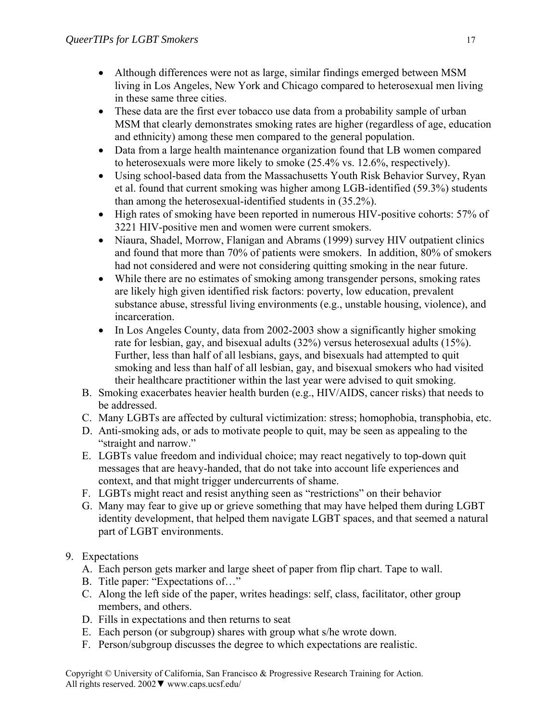- Although differences were not as large, similar findings emerged between MSM living in Los Angeles, New York and Chicago compared to heterosexual men living in these same three cities.
- These data are the first ever tobacco use data from a probability sample of urban MSM that clearly demonstrates smoking rates are higher (regardless of age, education and ethnicity) among these men compared to the general population.
- Data from a large health maintenance organization found that LB women compared to heterosexuals were more likely to smoke (25.4% vs. 12.6%, respectively).
- Using school-based data from the Massachusetts Youth Risk Behavior Survey, Ryan et al. found that current smoking was higher among LGB-identified (59.3%) students than among the heterosexual-identified students in (35.2%).
- High rates of smoking have been reported in numerous HIV-positive cohorts: 57% of 3221 HIV-positive men and women were current smokers.
- Niaura, Shadel, Morrow, Flanigan and Abrams (1999) survey HIV outpatient clinics and found that more than 70% of patients were smokers. In addition, 80% of smokers had not considered and were not considering quitting smoking in the near future.
- While there are no estimates of smoking among transgender persons, smoking rates are likely high given identified risk factors: poverty, low education, prevalent substance abuse, stressful living environments (e.g., unstable housing, violence), and incarceration.
- In Los Angeles County, data from 2002-2003 show a significantly higher smoking rate for lesbian, gay, and bisexual adults (32%) versus heterosexual adults (15%). Further, less than half of all lesbians, gays, and bisexuals had attempted to quit smoking and less than half of all lesbian, gay, and bisexual smokers who had visited their healthcare practitioner within the last year were advised to quit smoking.
- B. Smoking exacerbates heavier health burden (e.g., HIV/AIDS, cancer risks) that needs to be addressed.
- C. Many LGBTs are affected by cultural victimization: stress; homophobia, transphobia, etc.
- D. Anti-smoking ads, or ads to motivate people to quit, may be seen as appealing to the "straight and narrow."
- E. LGBTs value freedom and individual choice; may react negatively to top-down quit messages that are heavy-handed, that do not take into account life experiences and context, and that might trigger undercurrents of shame.
- F. LGBTs might react and resist anything seen as "restrictions" on their behavior
- G. Many may fear to give up or grieve something that may have helped them during LGBT identity development, that helped them navigate LGBT spaces, and that seemed a natural part of LGBT environments.

# 9. Expectations

- A. Each person gets marker and large sheet of paper from flip chart. Tape to wall.
- B. Title paper: "Expectations of…"
- C. Along the left side of the paper, writes headings: self, class, facilitator, other group members, and others.
- D. Fills in expectations and then returns to seat
- E. Each person (or subgroup) shares with group what s/he wrote down.
- F. Person/subgroup discusses the degree to which expectations are realistic.

Copyright © University of California, San Francisco & Progressive Research Training for Action. All rights reserved. 2002▼ www.caps.ucsf.edu/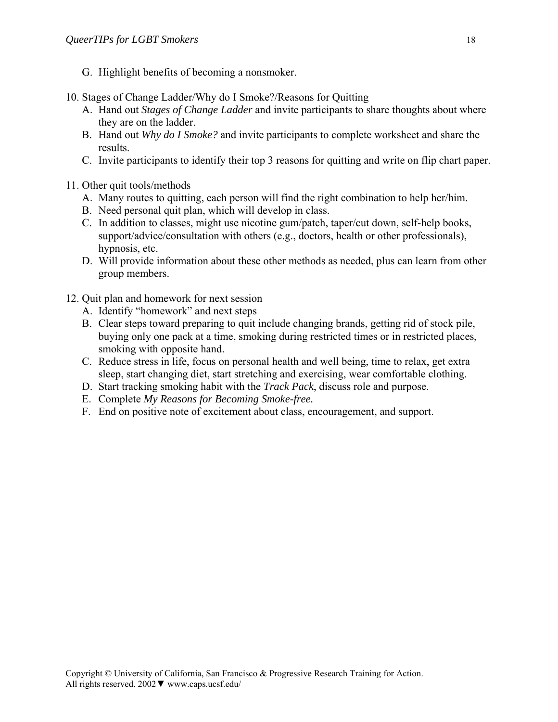- G. Highlight benefits of becoming a nonsmoker.
- 10. Stages of Change Ladder/Why do I Smoke?/Reasons for Quitting
	- A. Hand out *Stages of Change Ladder* and invite participants to share thoughts about where they are on the ladder.
	- B. Hand out *Why do I Smoke?* and invite participants to complete worksheet and share the results.
	- C. Invite participants to identify their top 3 reasons for quitting and write on flip chart paper.
- 11. Other quit tools/methods
	- A. Many routes to quitting, each person will find the right combination to help her/him.
	- B. Need personal quit plan, which will develop in class.
	- C. In addition to classes, might use nicotine gum/patch, taper/cut down, self-help books, support/advice/consultation with others (e.g., doctors, health or other professionals), hypnosis, etc.
	- D. Will provide information about these other methods as needed, plus can learn from other group members.
- 12. Quit plan and homework for next session
	- A. Identify "homework" and next steps
	- B. Clear steps toward preparing to quit include changing brands, getting rid of stock pile, buying only one pack at a time, smoking during restricted times or in restricted places, smoking with opposite hand.
	- C. Reduce stress in life, focus on personal health and well being, time to relax, get extra sleep, start changing diet, start stretching and exercising, wear comfortable clothing.
	- D. Start tracking smoking habit with the *Track Pack*, discuss role and purpose.
	- E. Complete *My Reasons for Becoming Smoke-free.*
	- F. End on positive note of excitement about class, encouragement, and support.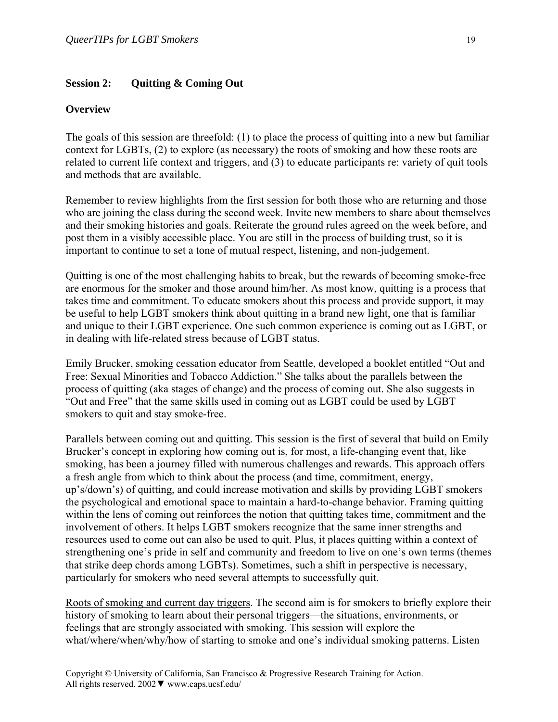#### **Session 2: Quitting & Coming Out**

#### **Overview**

The goals of this session are threefold: (1) to place the process of quitting into a new but familiar context for LGBTs, (2) to explore (as necessary) the roots of smoking and how these roots are related to current life context and triggers, and (3) to educate participants re: variety of quit tools and methods that are available.

Remember to review highlights from the first session for both those who are returning and those who are joining the class during the second week. Invite new members to share about themselves and their smoking histories and goals. Reiterate the ground rules agreed on the week before, and post them in a visibly accessible place. You are still in the process of building trust, so it is important to continue to set a tone of mutual respect, listening, and non-judgement.

Quitting is one of the most challenging habits to break, but the rewards of becoming smoke-free are enormous for the smoker and those around him/her. As most know, quitting is a process that takes time and commitment. To educate smokers about this process and provide support, it may be useful to help LGBT smokers think about quitting in a brand new light, one that is familiar and unique to their LGBT experience. One such common experience is coming out as LGBT, or in dealing with life-related stress because of LGBT status.

Emily Brucker, smoking cessation educator from Seattle, developed a booklet entitled "Out and Free: Sexual Minorities and Tobacco Addiction." She talks about the parallels between the process of quitting (aka stages of change) and the process of coming out. She also suggests in "Out and Free" that the same skills used in coming out as LGBT could be used by LGBT smokers to quit and stay smoke-free.

Parallels between coming out and quitting. This session is the first of several that build on Emily Brucker's concept in exploring how coming out is, for most, a life-changing event that, like smoking, has been a journey filled with numerous challenges and rewards. This approach offers a fresh angle from which to think about the process (and time, commitment, energy, up's/down's) of quitting, and could increase motivation and skills by providing LGBT smokers the psychological and emotional space to maintain a hard-to-change behavior. Framing quitting within the lens of coming out reinforces the notion that quitting takes time, commitment and the involvement of others. It helps LGBT smokers recognize that the same inner strengths and resources used to come out can also be used to quit. Plus, it places quitting within a context of strengthening one's pride in self and community and freedom to live on one's own terms (themes that strike deep chords among LGBTs). Sometimes, such a shift in perspective is necessary, particularly for smokers who need several attempts to successfully quit.

Roots of smoking and current day triggers. The second aim is for smokers to briefly explore their history of smoking to learn about their personal triggers—the situations, environments, or feelings that are strongly associated with smoking. This session will explore the what/where/when/why/how of starting to smoke and one's individual smoking patterns. Listen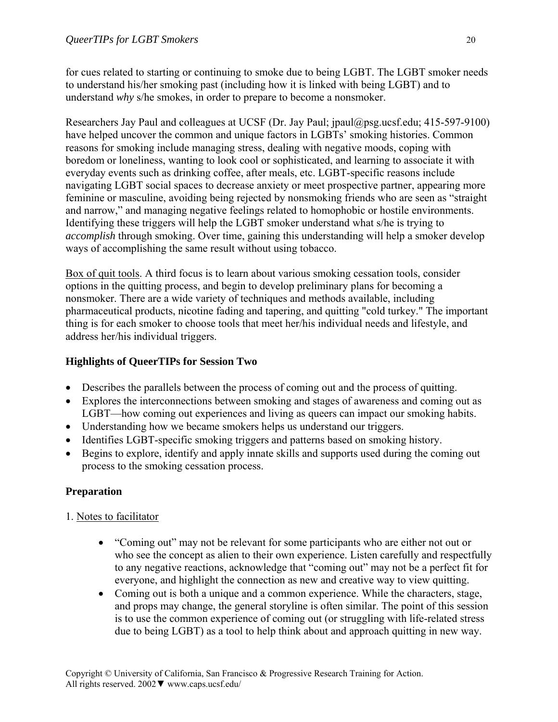for cues related to starting or continuing to smoke due to being LGBT. The LGBT smoker needs to understand his/her smoking past (including how it is linked with being LGBT) and to understand *why* s/he smokes, in order to prepare to become a nonsmoker.

Researchers Jay Paul and colleagues at UCSF (Dr. Jay Paul; jpaul@psg.ucsf.edu; 415-597-9100) have helped uncover the common and unique factors in LGBTs' smoking histories. Common reasons for smoking include managing stress, dealing with negative moods, coping with boredom or loneliness, wanting to look cool or sophisticated, and learning to associate it with everyday events such as drinking coffee, after meals, etc. LGBT-specific reasons include navigating LGBT social spaces to decrease anxiety or meet prospective partner, appearing more feminine or masculine, avoiding being rejected by nonsmoking friends who are seen as "straight and narrow," and managing negative feelings related to homophobic or hostile environments. Identifying these triggers will help the LGBT smoker understand what s/he is trying to *accomplish* through smoking. Over time, gaining this understanding will help a smoker develop ways of accomplishing the same result without using tobacco.

Box of quit tools. A third focus is to learn about various smoking cessation tools, consider options in the quitting process, and begin to develop preliminary plans for becoming a nonsmoker. There are a wide variety of techniques and methods available, including pharmaceutical products, nicotine fading and tapering, and quitting "cold turkey." The important thing is for each smoker to choose tools that meet her/his individual needs and lifestyle, and address her/his individual triggers.

### **Highlights of QueerTIPs for Session Two**

- Describes the parallels between the process of coming out and the process of quitting.
- Explores the interconnections between smoking and stages of awareness and coming out as LGBT—how coming out experiences and living as queers can impact our smoking habits.
- Understanding how we became smokers helps us understand our triggers.
- Identifies LGBT-specific smoking triggers and patterns based on smoking history.
- Begins to explore, identify and apply innate skills and supports used during the coming out process to the smoking cessation process.

# **Preparation**

# 1. Notes to facilitator

- "Coming out" may not be relevant for some participants who are either not out or who see the concept as alien to their own experience. Listen carefully and respectfully to any negative reactions, acknowledge that "coming out" may not be a perfect fit for everyone, and highlight the connection as new and creative way to view quitting.
- Coming out is both a unique and a common experience. While the characters, stage, and props may change, the general storyline is often similar. The point of this session is to use the common experience of coming out (or struggling with life-related stress due to being LGBT) as a tool to help think about and approach quitting in new way.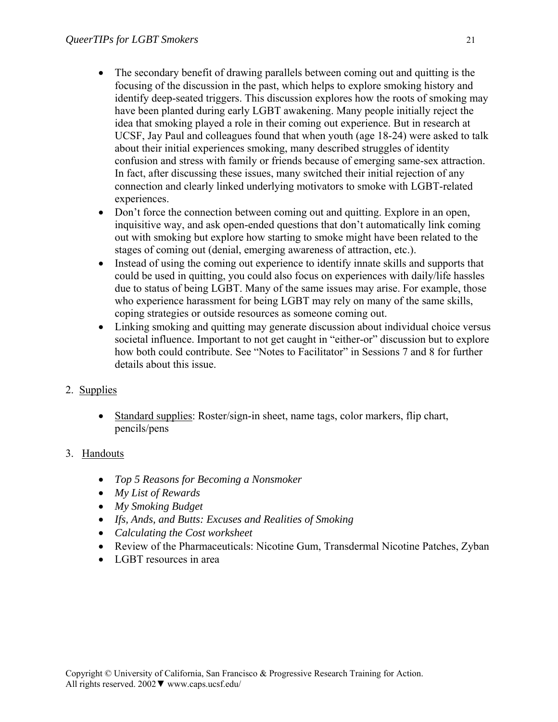- The secondary benefit of drawing parallels between coming out and quitting is the focusing of the discussion in the past, which helps to explore smoking history and identify deep-seated triggers. This discussion explores how the roots of smoking may have been planted during early LGBT awakening. Many people initially reject the idea that smoking played a role in their coming out experience. But in research at UCSF, Jay Paul and colleagues found that when youth (age 18-24) were asked to talk about their initial experiences smoking, many described struggles of identity confusion and stress with family or friends because of emerging same-sex attraction. In fact, after discussing these issues, many switched their initial rejection of any connection and clearly linked underlying motivators to smoke with LGBT-related experiences.
- Don't force the connection between coming out and quitting. Explore in an open, inquisitive way, and ask open-ended questions that don't automatically link coming out with smoking but explore how starting to smoke might have been related to the stages of coming out (denial, emerging awareness of attraction, etc.).
- Instead of using the coming out experience to identify innate skills and supports that could be used in quitting, you could also focus on experiences with daily/life hassles due to status of being LGBT. Many of the same issues may arise. For example, those who experience harassment for being LGBT may rely on many of the same skills, coping strategies or outside resources as someone coming out.
- Linking smoking and quitting may generate discussion about individual choice versus societal influence. Important to not get caught in "either-or" discussion but to explore how both could contribute. See "Notes to Facilitator" in Sessions 7 and 8 for further details about this issue.
- 2. Supplies
	- Standard supplies: Roster/sign-in sheet, name tags, color markers, flip chart, pencils/pens
- 3. Handouts
	- *Top 5 Reasons for Becoming a Nonsmoker*
	- *My List of Rewards*
	- *My Smoking Budget*
	- *Ifs, Ands, and Butts: Excuses and Realities of Smoking*
	- *Calculating the Cost worksheet*
	- Review of the Pharmaceuticals: Nicotine Gum, Transdermal Nicotine Patches, Zyban
	- LGBT resources in area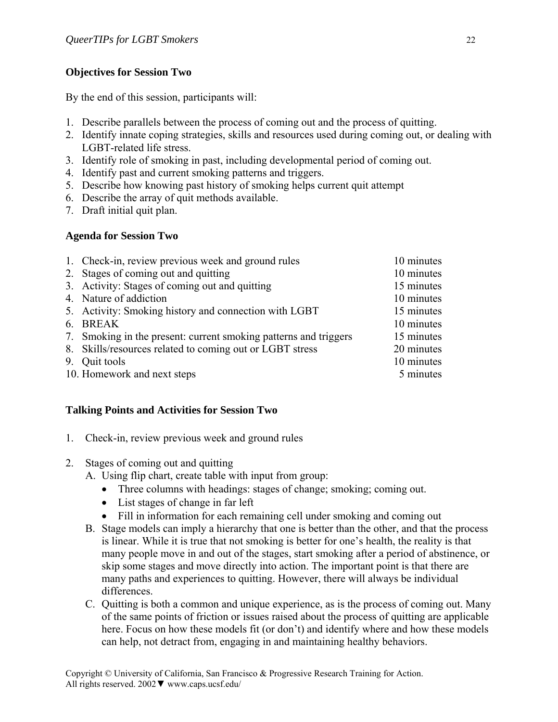### **Objectives for Session Two**

By the end of this session, participants will:

- 1. Describe parallels between the process of coming out and the process of quitting.
- 2. Identify innate coping strategies, skills and resources used during coming out, or dealing with LGBT-related life stress.
- 3. Identify role of smoking in past, including developmental period of coming out.
- 4. Identify past and current smoking patterns and triggers.
- 5. Describe how knowing past history of smoking helps current quit attempt
- 6. Describe the array of quit methods available.
- 7. Draft initial quit plan.

### **Agenda for Session Two**

|    | 1. Check-in, review previous week and ground rules               | 10 minutes |
|----|------------------------------------------------------------------|------------|
|    | 2. Stages of coming out and quitting                             | 10 minutes |
|    | 3. Activity: Stages of coming out and quitting                   | 15 minutes |
|    | 4. Nature of addiction                                           | 10 minutes |
|    | 5. Activity: Smoking history and connection with LGBT            | 15 minutes |
|    | 6. BREAK                                                         | 10 minutes |
|    | 7. Smoking in the present: current smoking patterns and triggers | 15 minutes |
|    | 8. Skills/resources related to coming out or LGBT stress         | 20 minutes |
| 9. | Quit tools                                                       | 10 minutes |
|    | 10. Homework and next steps                                      | 5 minutes  |

### **Talking Points and Activities for Session Two**

- 1. Check-in, review previous week and ground rules
- 2. Stages of coming out and quitting
	- A. Using flip chart, create table with input from group:
		- Three columns with headings: stages of change; smoking; coming out.
		- List stages of change in far left
		- Fill in information for each remaining cell under smoking and coming out
	- B. Stage models can imply a hierarchy that one is better than the other, and that the process is linear. While it is true that not smoking is better for one's health, the reality is that many people move in and out of the stages, start smoking after a period of abstinence, or skip some stages and move directly into action. The important point is that there are many paths and experiences to quitting. However, there will always be individual differences.
	- C. Quitting is both a common and unique experience, as is the process of coming out. Many of the same points of friction or issues raised about the process of quitting are applicable here. Focus on how these models fit (or don't) and identify where and how these models can help, not detract from, engaging in and maintaining healthy behaviors.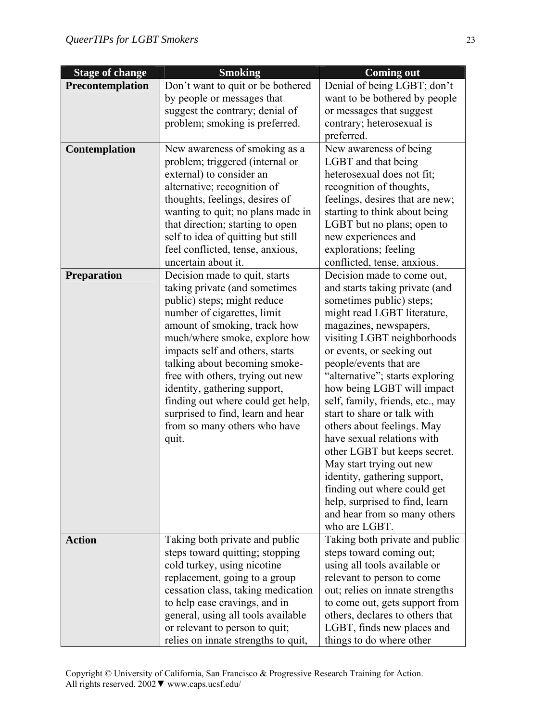| <b>Stage of change</b><br><b>Smoking</b> |                                     | <b>Coming out</b>                             |
|------------------------------------------|-------------------------------------|-----------------------------------------------|
| Precontemplation                         | Don't want to quit or be bothered   | Denial of being LGBT; don't                   |
|                                          | by people or messages that          | want to be bothered by people                 |
|                                          | suggest the contrary; denial of     | or messages that suggest                      |
|                                          | problem; smoking is preferred.      | contrary; heterosexual is                     |
|                                          |                                     | preferred.                                    |
| <b>Contemplation</b>                     | New awareness of smoking as a       | New awareness of being                        |
|                                          | problem; triggered (internal or     | LGBT and that being                           |
|                                          | external) to consider an            | heterosexual does not fit;                    |
|                                          | alternative; recognition of         | recognition of thoughts,                      |
|                                          | thoughts, feelings, desires of      | feelings, desires that are new;               |
|                                          | wanting to quit; no plans made in   | starting to think about being                 |
|                                          | that direction; starting to open    | LGBT but no plans; open to                    |
|                                          | self to idea of quitting but still  | new experiences and                           |
|                                          | feel conflicted, tense, anxious,    | explorations; feeling                         |
|                                          | uncertain about it.                 | conflicted, tense, anxious.                   |
| <b>Preparation</b>                       | Decision made to quit, starts       | Decision made to come out,                    |
|                                          | taking private (and sometimes       | and starts taking private (and                |
|                                          | public) steps; might reduce         | sometimes public) steps;                      |
|                                          | number of cigarettes, limit         | might read LGBT literature,                   |
|                                          | amount of smoking, track how        | magazines, newspapers,                        |
|                                          | much/where smoke, explore how       | visiting LGBT neighborhoods                   |
|                                          | impacts self and others, starts     | or events, or seeking out                     |
|                                          | talking about becoming smoke-       | people/events that are                        |
|                                          | free with others, trying out new    | "alternative"; starts exploring               |
|                                          | identity, gathering support,        | how being LGBT will impact                    |
|                                          | finding out where could get help,   | self, family, friends, etc., may              |
|                                          | surprised to find, learn and hear   | start to share or talk with                   |
|                                          | from so many others who have        | others about feelings. May                    |
|                                          | quit.                               | have sexual relations with                    |
|                                          |                                     | other LGBT but keeps secret.                  |
|                                          |                                     | May start trying out new                      |
|                                          |                                     | identity, gathering support,                  |
|                                          |                                     | finding out where could get                   |
|                                          |                                     | help, surprised to find, learn                |
|                                          |                                     | and hear from so many others<br>who are LGBT. |
| <b>Action</b>                            | Taking both private and public      | Taking both private and public                |
|                                          | steps toward quitting; stopping     | steps toward coming out;                      |
|                                          | cold turkey, using nicotine         | using all tools available or                  |
|                                          | replacement, going to a group       | relevant to person to come                    |
|                                          | cessation class, taking medication  | out; relies on innate strengths               |
|                                          | to help ease cravings, and in       | to come out, gets support from                |
|                                          | general, using all tools available  | others, declares to others that               |
|                                          | or relevant to person to quit;      | LGBT, finds new places and                    |
|                                          | relies on innate strengths to quit, | things to do where other                      |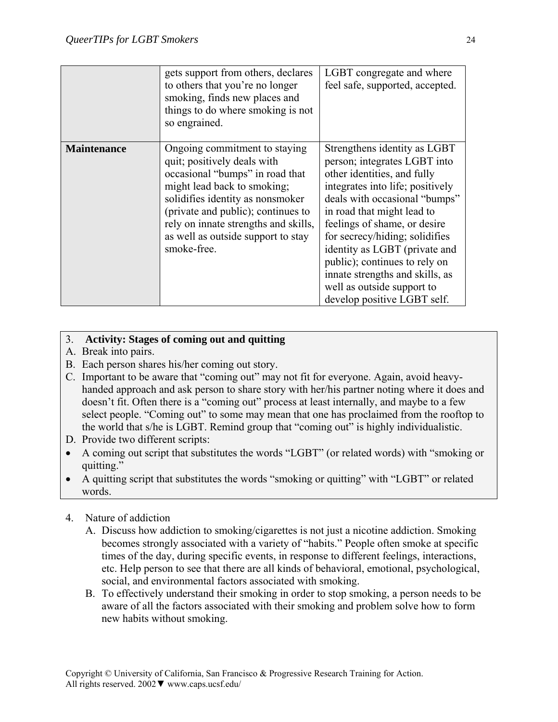|                    | gets support from others, declares<br>to others that you're no longer<br>smoking, finds new places and<br>things to do where smoking is not<br>so engrained.                                                                                                                                          | LGBT congregate and where<br>feel safe, supported, accepted.                                                                                                                                                                                                                                                                                                                                                                       |
|--------------------|-------------------------------------------------------------------------------------------------------------------------------------------------------------------------------------------------------------------------------------------------------------------------------------------------------|------------------------------------------------------------------------------------------------------------------------------------------------------------------------------------------------------------------------------------------------------------------------------------------------------------------------------------------------------------------------------------------------------------------------------------|
| <b>Maintenance</b> | Ongoing commitment to staying<br>quit; positively deals with<br>occasional "bumps" in road that<br>might lead back to smoking;<br>solidifies identity as nonsmoker<br>(private and public); continues to<br>rely on innate strengths and skills,<br>as well as outside support to stay<br>smoke-free. | Strengthens identity as LGBT<br>person; integrates LGBT into<br>other identities, and fully<br>integrates into life; positively<br>deals with occasional "bumps"<br>in road that might lead to<br>feelings of shame, or desire<br>for secrecy/hiding; solidifies<br>identity as LGBT (private and<br>public); continues to rely on<br>innate strengths and skills, as<br>well as outside support to<br>develop positive LGBT self. |

### 3. **Activity: Stages of coming out and quitting**

- A. Break into pairs.
- B. Each person shares his/her coming out story.
- C. Important to be aware that "coming out" may not fit for everyone. Again, avoid heavyhanded approach and ask person to share story with her/his partner noting where it does and doesn't fit. Often there is a "coming out" process at least internally, and maybe to a few select people. "Coming out" to some may mean that one has proclaimed from the rooftop to the world that s/he is LGBT. Remind group that "coming out" is highly individualistic.
- D. Provide two different scripts:
- A coming out script that substitutes the words "LGBT" (or related words) with "smoking or quitting."
- A quitting script that substitutes the words "smoking or quitting" with "LGBT" or related words.
- 4. Nature of addiction
	- A. Discuss how addiction to smoking/cigarettes is not just a nicotine addiction. Smoking becomes strongly associated with a variety of "habits." People often smoke at specific times of the day, during specific events, in response to different feelings, interactions, etc. Help person to see that there are all kinds of behavioral, emotional, psychological, social, and environmental factors associated with smoking.
	- B. To effectively understand their smoking in order to stop smoking, a person needs to be aware of all the factors associated with their smoking and problem solve how to form new habits without smoking.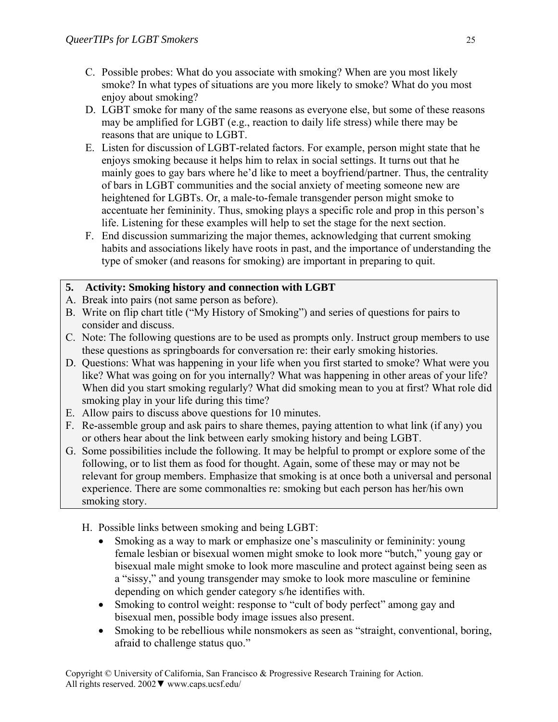- C. Possible probes: What do you associate with smoking? When are you most likely smoke? In what types of situations are you more likely to smoke? What do you most enjoy about smoking?
- D. LGBT smoke for many of the same reasons as everyone else, but some of these reasons may be amplified for LGBT (e.g., reaction to daily life stress) while there may be reasons that are unique to LGBT.
- E. Listen for discussion of LGBT-related factors. For example, person might state that he enjoys smoking because it helps him to relax in social settings. It turns out that he mainly goes to gay bars where he'd like to meet a boyfriend/partner. Thus, the centrality of bars in LGBT communities and the social anxiety of meeting someone new are heightened for LGBTs. Or, a male-to-female transgender person might smoke to accentuate her femininity. Thus, smoking plays a specific role and prop in this person's life. Listening for these examples will help to set the stage for the next section.
- F. End discussion summarizing the major themes, acknowledging that current smoking habits and associations likely have roots in past, and the importance of understanding the type of smoker (and reasons for smoking) are important in preparing to quit.

# **5. Activity: Smoking history and connection with LGBT**

- A. Break into pairs (not same person as before).
- B. Write on flip chart title ("My History of Smoking") and series of questions for pairs to consider and discuss.
- C. Note: The following questions are to be used as prompts only. Instruct group members to use these questions as springboards for conversation re: their early smoking histories.
- D. Questions: What was happening in your life when you first started to smoke? What were you like? What was going on for you internally? What was happening in other areas of your life? When did you start smoking regularly? What did smoking mean to you at first? What role did smoking play in your life during this time?
- E. Allow pairs to discuss above questions for 10 minutes.
- F. Re-assemble group and ask pairs to share themes, paying attention to what link (if any) you or others hear about the link between early smoking history and being LGBT.
- G. Some possibilities include the following. It may be helpful to prompt or explore some of the following, or to list them as food for thought. Again, some of these may or may not be relevant for group members. Emphasize that smoking is at once both a universal and personal experience. There are some commonalties re: smoking but each person has her/his own smoking story.
	- H. Possible links between smoking and being LGBT:
		- Smoking as a way to mark or emphasize one's masculinity or femininity: young female lesbian or bisexual women might smoke to look more "butch," young gay or bisexual male might smoke to look more masculine and protect against being seen as a "sissy," and young transgender may smoke to look more masculine or feminine depending on which gender category s/he identifies with.
		- Smoking to control weight: response to "cult of body perfect" among gay and bisexual men, possible body image issues also present.
		- Smoking to be rebellious while nonsmokers as seen as "straight, conventional, boring, afraid to challenge status quo."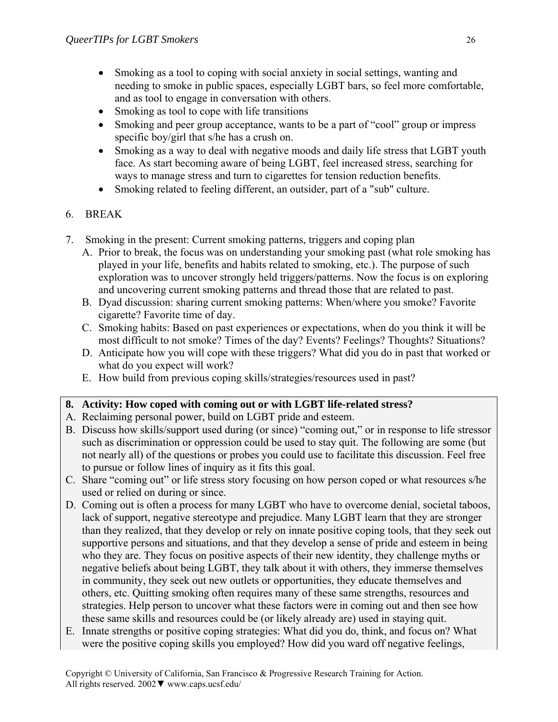- Smoking as a tool to coping with social anxiety in social settings, wanting and needing to smoke in public spaces, especially LGBT bars, so feel more comfortable, and as tool to engage in conversation with others.
- Smoking as tool to cope with life transitions
- Smoking and peer group acceptance, wants to be a part of "cool" group or impress specific boy/girl that s/he has a crush on.
- Smoking as a way to deal with negative moods and daily life stress that LGBT youth face. As start becoming aware of being LGBT, feel increased stress, searching for ways to manage stress and turn to cigarettes for tension reduction benefits.
- Smoking related to feeling different, an outsider, part of a "sub" culture.

# 6. BREAK

- 7. Smoking in the present: Current smoking patterns, triggers and coping plan
	- A. Prior to break, the focus was on understanding your smoking past (what role smoking has played in your life, benefits and habits related to smoking, etc.). The purpose of such exploration was to uncover strongly held triggers/patterns. Now the focus is on exploring and uncovering current smoking patterns and thread those that are related to past.
	- B. Dyad discussion: sharing current smoking patterns: When/where you smoke? Favorite cigarette? Favorite time of day.
	- C. Smoking habits: Based on past experiences or expectations, when do you think it will be most difficult to not smoke? Times of the day? Events? Feelings? Thoughts? Situations?
	- D. Anticipate how you will cope with these triggers? What did you do in past that worked or what do you expect will work?
	- E. How build from previous coping skills/strategies/resources used in past?

# **8. Activity: How coped with coming out or with LGBT life-related stress?**

- A. Reclaiming personal power, build on LGBT pride and esteem.
- B. Discuss how skills/support used during (or since) "coming out," or in response to life stressor such as discrimination or oppression could be used to stay quit. The following are some (but not nearly all) of the questions or probes you could use to facilitate this discussion. Feel free to pursue or follow lines of inquiry as it fits this goal.
- C. Share "coming out" or life stress story focusing on how person coped or what resources s/he used or relied on during or since.
- D. Coming out is often a process for many LGBT who have to overcome denial, societal taboos, lack of support, negative stereotype and prejudice. Many LGBT learn that they are stronger than they realized, that they develop or rely on innate positive coping tools, that they seek out supportive persons and situations, and that they develop a sense of pride and esteem in being who they are. They focus on positive aspects of their new identity, they challenge myths or negative beliefs about being LGBT, they talk about it with others, they immerse themselves in community, they seek out new outlets or opportunities, they educate themselves and others, etc. Quitting smoking often requires many of these same strengths, resources and strategies. Help person to uncover what these factors were in coming out and then see how these same skills and resources could be (or likely already are) used in staying quit.
- E. Innate strengths or positive coping strategies: What did you do, think, and focus on? What were the positive coping skills you employed? How did you ward off negative feelings,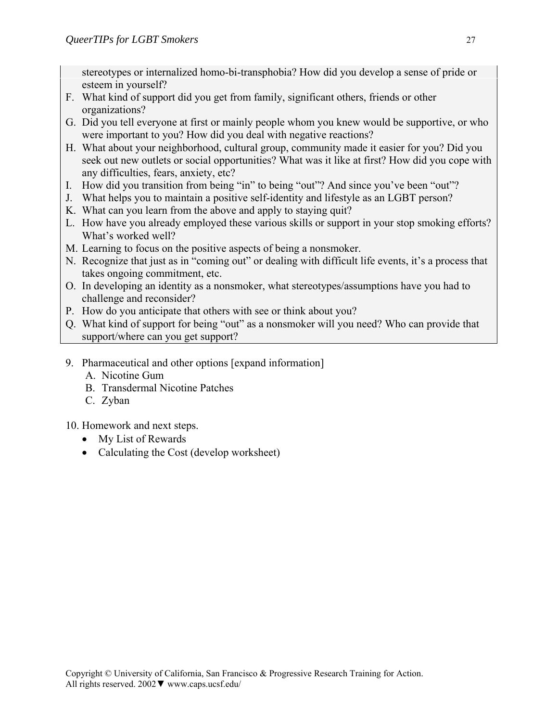stereotypes or internalized homo-bi-transphobia? How did you develop a sense of pride or esteem in yourself?

- F. What kind of support did you get from family, significant others, friends or other organizations?
- G. Did you tell everyone at first or mainly people whom you knew would be supportive, or who were important to you? How did you deal with negative reactions?
- H. What about your neighborhood, cultural group, community made it easier for you? Did you seek out new outlets or social opportunities? What was it like at first? How did you cope with any difficulties, fears, anxiety, etc?
- I. How did you transition from being "in" to being "out"? And since you've been "out"?
- J. What helps you to maintain a positive self-identity and lifestyle as an LGBT person?
- K. What can you learn from the above and apply to staying quit?
- L. How have you already employed these various skills or support in your stop smoking efforts? What's worked well?
- M. Learning to focus on the positive aspects of being a nonsmoker.
- N. Recognize that just as in "coming out" or dealing with difficult life events, it's a process that takes ongoing commitment, etc.
- O. In developing an identity as a nonsmoker, what stereotypes/assumptions have you had to challenge and reconsider?
- P. How do you anticipate that others with see or think about you?
- Q. What kind of support for being "out" as a nonsmoker will you need? Who can provide that support/where can you get support?
- 9. Pharmaceutical and other options [expand information]
	- A. Nicotine Gum
	- B. Transdermal Nicotine Patches
	- C. Zyban

10. Homework and next steps.

- My List of Rewards
- Calculating the Cost (develop worksheet)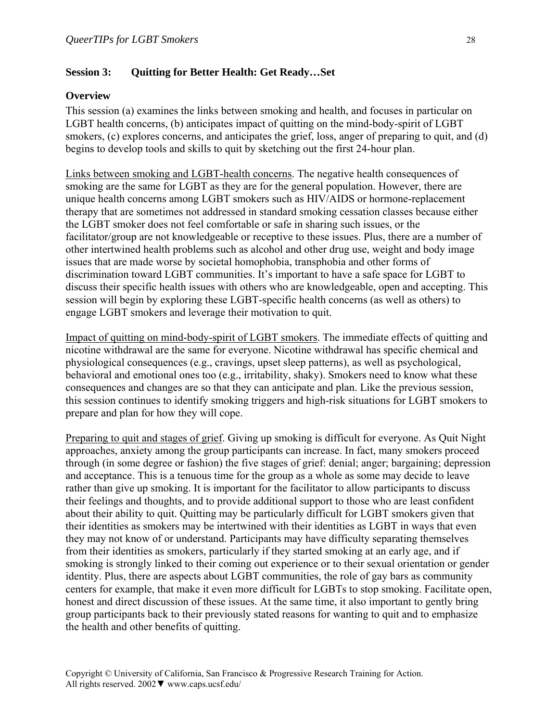### **Session 3: Quitting for Better Health: Get Ready…Set**

### **Overview**

This session (a) examines the links between smoking and health, and focuses in particular on LGBT health concerns, (b) anticipates impact of quitting on the mind-body-spirit of LGBT smokers, (c) explores concerns, and anticipates the grief, loss, anger of preparing to quit, and (d) begins to develop tools and skills to quit by sketching out the first 24-hour plan.

Links between smoking and LGBT-health concerns. The negative health consequences of smoking are the same for LGBT as they are for the general population. However, there are unique health concerns among LGBT smokers such as HIV/AIDS or hormone-replacement therapy that are sometimes not addressed in standard smoking cessation classes because either the LGBT smoker does not feel comfortable or safe in sharing such issues, or the facilitator/group are not knowledgeable or receptive to these issues. Plus, there are a number of other intertwined health problems such as alcohol and other drug use, weight and body image issues that are made worse by societal homophobia, transphobia and other forms of discrimination toward LGBT communities. It's important to have a safe space for LGBT to discuss their specific health issues with others who are knowledgeable, open and accepting. This session will begin by exploring these LGBT-specific health concerns (as well as others) to engage LGBT smokers and leverage their motivation to quit.

Impact of quitting on mind-body-spirit of LGBT smokers. The immediate effects of quitting and nicotine withdrawal are the same for everyone. Nicotine withdrawal has specific chemical and physiological consequences (e.g., cravings, upset sleep patterns), as well as psychological, behavioral and emotional ones too (e.g., irritability, shaky). Smokers need to know what these consequences and changes are so that they can anticipate and plan. Like the previous session, this session continues to identify smoking triggers and high-risk situations for LGBT smokers to prepare and plan for how they will cope.

Preparing to quit and stages of grief. Giving up smoking is difficult for everyone. As Quit Night approaches, anxiety among the group participants can increase. In fact, many smokers proceed through (in some degree or fashion) the five stages of grief: denial; anger; bargaining; depression and acceptance. This is a tenuous time for the group as a whole as some may decide to leave rather than give up smoking. It is important for the facilitator to allow participants to discuss their feelings and thoughts, and to provide additional support to those who are least confident about their ability to quit. Quitting may be particularly difficult for LGBT smokers given that their identities as smokers may be intertwined with their identities as LGBT in ways that even they may not know of or understand. Participants may have difficulty separating themselves from their identities as smokers, particularly if they started smoking at an early age, and if smoking is strongly linked to their coming out experience or to their sexual orientation or gender identity. Plus, there are aspects about LGBT communities, the role of gay bars as community centers for example, that make it even more difficult for LGBTs to stop smoking. Facilitate open, honest and direct discussion of these issues. At the same time, it also important to gently bring group participants back to their previously stated reasons for wanting to quit and to emphasize the health and other benefits of quitting.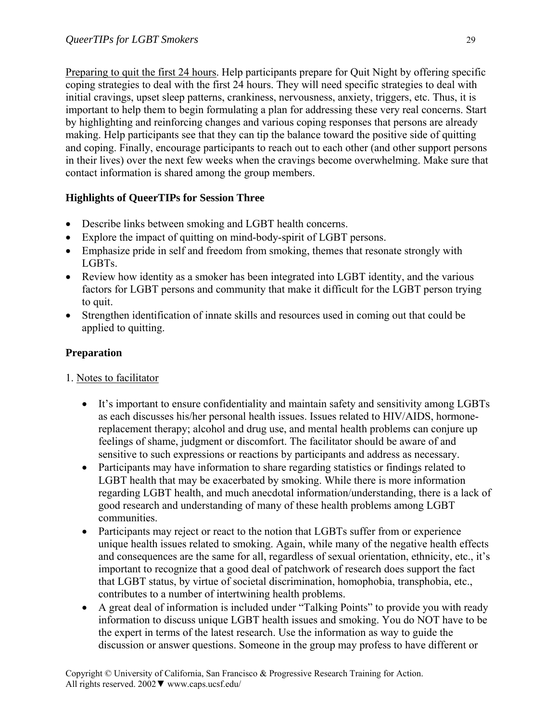Preparing to quit the first 24 hours. Help participants prepare for Quit Night by offering specific coping strategies to deal with the first 24 hours. They will need specific strategies to deal with initial cravings, upset sleep patterns, crankiness, nervousness, anxiety, triggers, etc. Thus, it is important to help them to begin formulating a plan for addressing these very real concerns. Start by highlighting and reinforcing changes and various coping responses that persons are already making. Help participants see that they can tip the balance toward the positive side of quitting and coping. Finally, encourage participants to reach out to each other (and other support persons in their lives) over the next few weeks when the cravings become overwhelming. Make sure that contact information is shared among the group members.

# **Highlights of QueerTIPs for Session Three**

- Describe links between smoking and LGBT health concerns.
- Explore the impact of quitting on mind-body-spirit of LGBT persons.
- Emphasize pride in self and freedom from smoking, themes that resonate strongly with LGBTs.
- Review how identity as a smoker has been integrated into LGBT identity, and the various factors for LGBT persons and community that make it difficult for the LGBT person trying to quit.
- Strengthen identification of innate skills and resources used in coming out that could be applied to quitting.

### **Preparation**

### 1. Notes to facilitator

- It's important to ensure confidentiality and maintain safety and sensitivity among LGBTs as each discusses his/her personal health issues. Issues related to HIV/AIDS, hormonereplacement therapy; alcohol and drug use, and mental health problems can conjure up feelings of shame, judgment or discomfort. The facilitator should be aware of and sensitive to such expressions or reactions by participants and address as necessary.
- Participants may have information to share regarding statistics or findings related to LGBT health that may be exacerbated by smoking. While there is more information regarding LGBT health, and much anecdotal information/understanding, there is a lack of good research and understanding of many of these health problems among LGBT communities.
- Participants may reject or react to the notion that LGBTs suffer from or experience unique health issues related to smoking. Again, while many of the negative health effects and consequences are the same for all, regardless of sexual orientation, ethnicity, etc., it's important to recognize that a good deal of patchwork of research does support the fact that LGBT status, by virtue of societal discrimination, homophobia, transphobia, etc., contributes to a number of intertwining health problems.
- A great deal of information is included under "Talking Points" to provide you with ready information to discuss unique LGBT health issues and smoking. You do NOT have to be the expert in terms of the latest research. Use the information as way to guide the discussion or answer questions. Someone in the group may profess to have different or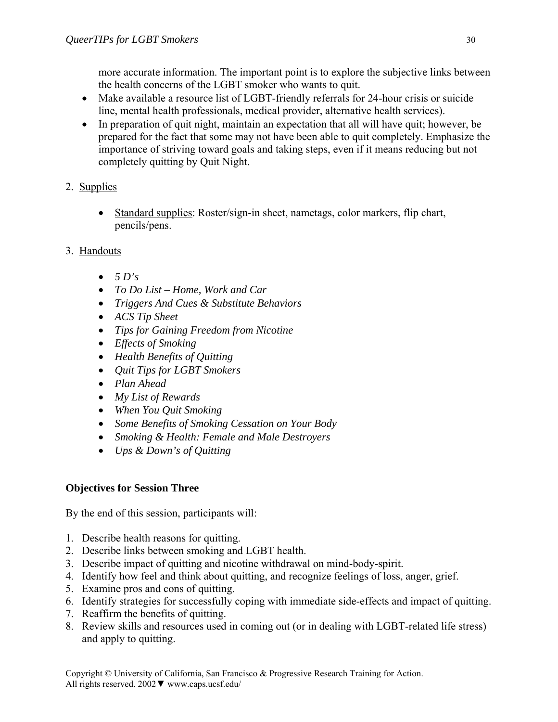more accurate information. The important point is to explore the subjective links between the health concerns of the LGBT smoker who wants to quit.

- Make available a resource list of LGBT-friendly referrals for 24-hour crisis or suicide line, mental health professionals, medical provider, alternative health services).
- In preparation of quit night, maintain an expectation that all will have quit; however, be prepared for the fact that some may not have been able to quit completely. Emphasize the importance of striving toward goals and taking steps, even if it means reducing but not completely quitting by Quit Night.
- 2. Supplies
	- Standard supplies: Roster/sign-in sheet, nametags, color markers, flip chart, pencils/pens.
- 3. Handouts
	- $\bullet$  5 D's
	- *To Do List Home, Work and Car*
	- *Triggers And Cues & Substitute Behaviors*
	- *ACS Tip Sheet*
	- *Tips for Gaining Freedom from Nicotine*
	- *Effects of Smoking*
	- *Health Benefits of Quitting*
	- *Quit Tips for LGBT Smokers*
	- *Plan Ahead*
	- *My List of Rewards*
	- *When You Quit Smoking*
	- *Some Benefits of Smoking Cessation on Your Body*
	- *Smoking & Health: Female and Male Destroyers*
	- *Ups & Down's of Quitting*

# **Objectives for Session Three**

By the end of this session, participants will:

- 1. Describe health reasons for quitting.
- 2. Describe links between smoking and LGBT health.
- 3. Describe impact of quitting and nicotine withdrawal on mind-body-spirit.
- 4. Identify how feel and think about quitting, and recognize feelings of loss, anger, grief.
- 5. Examine pros and cons of quitting.
- 6. Identify strategies for successfully coping with immediate side-effects and impact of quitting.
- 7. Reaffirm the benefits of quitting.
- 8. Review skills and resources used in coming out (or in dealing with LGBT-related life stress) and apply to quitting.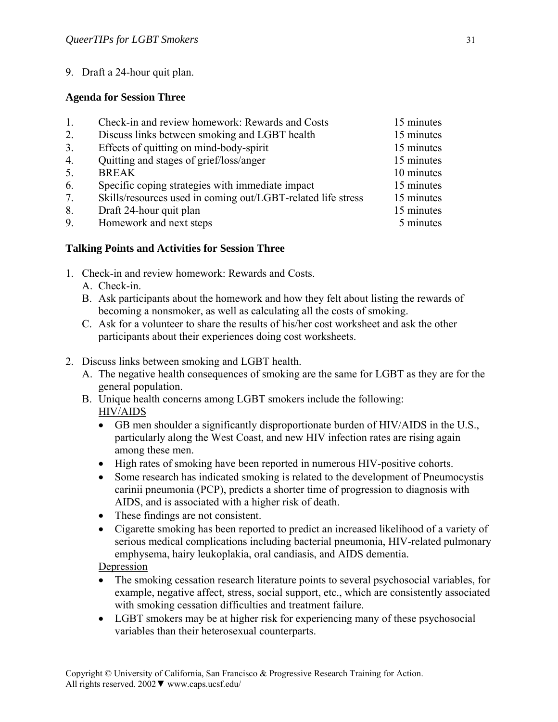9. Draft a 24-hour quit plan.

### **Agenda for Session Three**

| 1. | Check-in and review homework: Rewards and Costs              | 15 minutes |
|----|--------------------------------------------------------------|------------|
| 2. | Discuss links between smoking and LGBT health                | 15 minutes |
| 3. | Effects of quitting on mind-body-spirit                      | 15 minutes |
| 4. | Quitting and stages of grief/loss/anger                      | 15 minutes |
| 5. | <b>BREAK</b>                                                 | 10 minutes |
| 6. | Specific coping strategies with immediate impact             | 15 minutes |
| 7. | Skills/resources used in coming out/LGBT-related life stress | 15 minutes |
| 8. | Draft 24-hour quit plan                                      | 15 minutes |
| 9. | Homework and next steps                                      | 5 minutes  |

### **Talking Points and Activities for Session Three**

- 1. Check-in and review homework: Rewards and Costs.
	- A. Check-in.
	- B. Ask participants about the homework and how they felt about listing the rewards of becoming a nonsmoker, as well as calculating all the costs of smoking.
	- C. Ask for a volunteer to share the results of his/her cost worksheet and ask the other participants about their experiences doing cost worksheets.
- 2. Discuss links between smoking and LGBT health.
	- A. The negative health consequences of smoking are the same for LGBT as they are for the general population.
	- B. Unique health concerns among LGBT smokers include the following: HIV/AIDS
		- GB men shoulder a significantly disproportionate burden of HIV/AIDS in the U.S., particularly along the West Coast, and new HIV infection rates are rising again among these men.
		- High rates of smoking have been reported in numerous HIV-positive cohorts.
		- Some research has indicated smoking is related to the development of Pneumocystis carinii pneumonia (PCP), predicts a shorter time of progression to diagnosis with AIDS, and is associated with a higher risk of death.
		- These findings are not consistent.
		- Cigarette smoking has been reported to predict an increased likelihood of a variety of serious medical complications including bacterial pneumonia, HIV-related pulmonary emphysema, hairy leukoplakia, oral candiasis, and AIDS dementia.

Depression

- The smoking cessation research literature points to several psychosocial variables, for example, negative affect, stress, social support, etc., which are consistently associated with smoking cessation difficulties and treatment failure.
- LGBT smokers may be at higher risk for experiencing many of these psychosocial variables than their heterosexual counterparts.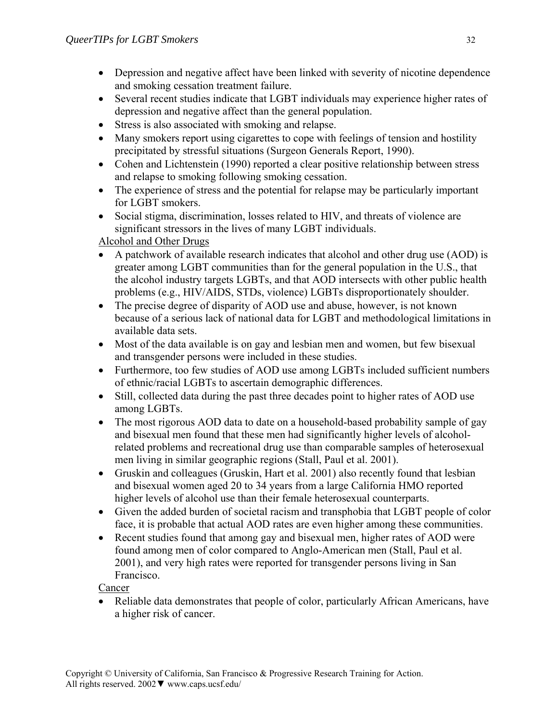- Depression and negative affect have been linked with severity of nicotine dependence and smoking cessation treatment failure.
- Several recent studies indicate that LGBT individuals may experience higher rates of depression and negative affect than the general population.
- Stress is also associated with smoking and relapse.
- Many smokers report using cigarettes to cope with feelings of tension and hostility precipitated by stressful situations (Surgeon Generals Report, 1990).
- Cohen and Lichtenstein (1990) reported a clear positive relationship between stress and relapse to smoking following smoking cessation.
- The experience of stress and the potential for relapse may be particularly important for LGBT smokers.
- Social stigma, discrimination, losses related to HIV, and threats of violence are significant stressors in the lives of many LGBT individuals.

# Alcohol and Other Drugs

- A patchwork of available research indicates that alcohol and other drug use (AOD) is greater among LGBT communities than for the general population in the U.S., that the alcohol industry targets LGBTs, and that AOD intersects with other public health problems (e.g., HIV/AIDS, STDs, violence) LGBTs disproportionately shoulder.
- The precise degree of disparity of AOD use and abuse, however, is not known because of a serious lack of national data for LGBT and methodological limitations in available data sets.
- Most of the data available is on gay and lesbian men and women, but few bisexual and transgender persons were included in these studies.
- Furthermore, too few studies of AOD use among LGBTs included sufficient numbers of ethnic/racial LGBTs to ascertain demographic differences.
- Still, collected data during the past three decades point to higher rates of AOD use among LGBTs.
- The most rigorous AOD data to date on a household-based probability sample of gay and bisexual men found that these men had significantly higher levels of alcoholrelated problems and recreational drug use than comparable samples of heterosexual men living in similar geographic regions (Stall, Paul et al. 2001).
- Gruskin and colleagues (Gruskin, Hart et al. 2001) also recently found that lesbian and bisexual women aged 20 to 34 years from a large California HMO reported higher levels of alcohol use than their female heterosexual counterparts.
- Given the added burden of societal racism and transphobia that LGBT people of color face, it is probable that actual AOD rates are even higher among these communities.
- Recent studies found that among gay and bisexual men, higher rates of AOD were found among men of color compared to Anglo-American men (Stall, Paul et al. 2001), and very high rates were reported for transgender persons living in San Francisco.

Cancer

• Reliable data demonstrates that people of color, particularly African Americans, have a higher risk of cancer.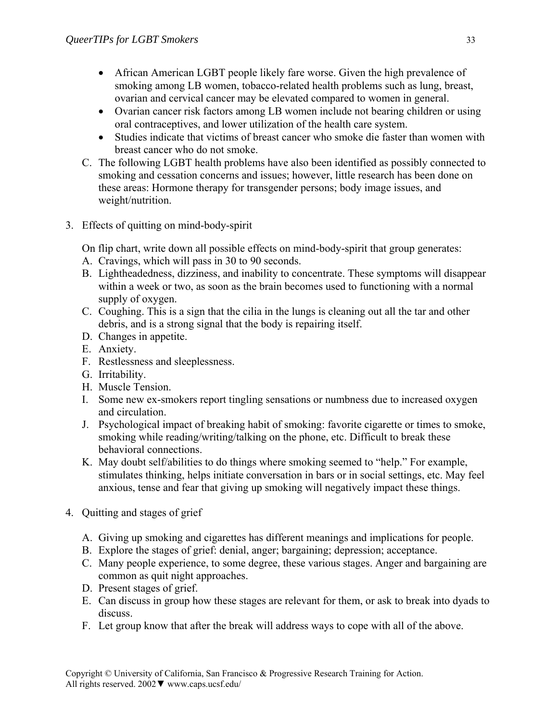- African American LGBT people likely fare worse. Given the high prevalence of smoking among LB women, tobacco-related health problems such as lung, breast, ovarian and cervical cancer may be elevated compared to women in general.
- Ovarian cancer risk factors among LB women include not bearing children or using oral contraceptives, and lower utilization of the health care system.
- Studies indicate that victims of breast cancer who smoke die faster than women with breast cancer who do not smoke.
- C. The following LGBT health problems have also been identified as possibly connected to smoking and cessation concerns and issues; however, little research has been done on these areas: Hormone therapy for transgender persons; body image issues, and weight/nutrition.
- 3. Effects of quitting on mind-body-spirit

On flip chart, write down all possible effects on mind-body-spirit that group generates:

- A. Cravings, which will pass in 30 to 90 seconds.
- B. Lightheadedness, dizziness, and inability to concentrate. These symptoms will disappear within a week or two, as soon as the brain becomes used to functioning with a normal supply of oxygen.
- C. Coughing. This is a sign that the cilia in the lungs is cleaning out all the tar and other debris, and is a strong signal that the body is repairing itself.
- D. Changes in appetite.
- E. Anxiety.
- F. Restlessness and sleeplessness.
- G. Irritability.
- H. Muscle Tension.
- I. Some new ex-smokers report tingling sensations or numbness due to increased oxygen and circulation.
- J. Psychological impact of breaking habit of smoking: favorite cigarette or times to smoke, smoking while reading/writing/talking on the phone, etc. Difficult to break these behavioral connections.
- K. May doubt self/abilities to do things where smoking seemed to "help." For example, stimulates thinking, helps initiate conversation in bars or in social settings, etc. May feel anxious, tense and fear that giving up smoking will negatively impact these things.
- 4. Quitting and stages of grief
	- A. Giving up smoking and cigarettes has different meanings and implications for people.
	- B. Explore the stages of grief: denial, anger; bargaining; depression; acceptance.
	- C. Many people experience, to some degree, these various stages. Anger and bargaining are common as quit night approaches.
	- D. Present stages of grief.
	- E. Can discuss in group how these stages are relevant for them, or ask to break into dyads to discuss.
	- F. Let group know that after the break will address ways to cope with all of the above.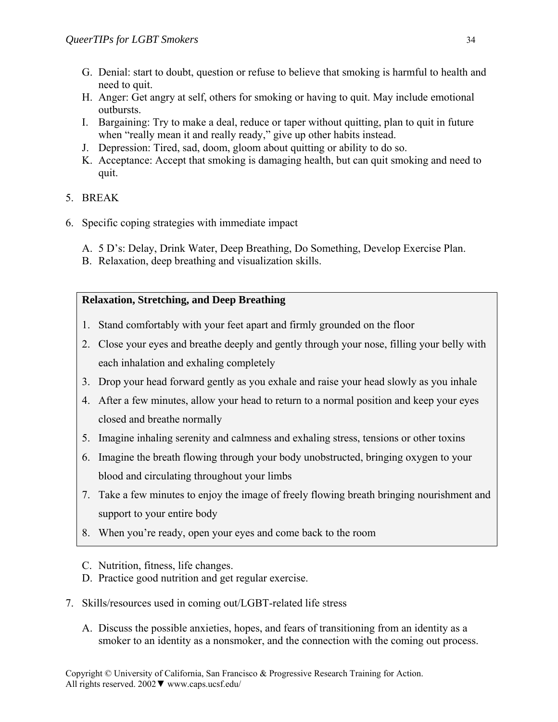- G. Denial: start to doubt, question or refuse to believe that smoking is harmful to health and need to quit.
- H. Anger: Get angry at self, others for smoking or having to quit. May include emotional outbursts.
- I. Bargaining: Try to make a deal, reduce or taper without quitting, plan to quit in future when "really mean it and really ready," give up other habits instead.
- J. Depression: Tired, sad, doom, gloom about quitting or ability to do so.
- K. Acceptance: Accept that smoking is damaging health, but can quit smoking and need to quit.

# 5. BREAK

- 6. Specific coping strategies with immediate impact
	- A. 5 D's: Delay, Drink Water, Deep Breathing, Do Something, Develop Exercise Plan.
	- B. Relaxation, deep breathing and visualization skills.

# **Relaxation, Stretching, and Deep Breathing**

- 1. Stand comfortably with your feet apart and firmly grounded on the floor
- 2. Close your eyes and breathe deeply and gently through your nose, filling your belly with each inhalation and exhaling completely
- 3. Drop your head forward gently as you exhale and raise your head slowly as you inhale
- 4. After a few minutes, allow your head to return to a normal position and keep your eyes closed and breathe normally
- 5. Imagine inhaling serenity and calmness and exhaling stress, tensions or other toxins
- 6. Imagine the breath flowing through your body unobstructed, bringing oxygen to your blood and circulating throughout your limbs
- 7. Take a few minutes to enjoy the image of freely flowing breath bringing nourishment and support to your entire body
- 8. When you're ready, open your eyes and come back to the room
- C. Nutrition, fitness, life changes.
- D. Practice good nutrition and get regular exercise.
- 7. Skills/resources used in coming out/LGBT-related life stress
	- A. Discuss the possible anxieties, hopes, and fears of transitioning from an identity as a smoker to an identity as a nonsmoker, and the connection with the coming out process.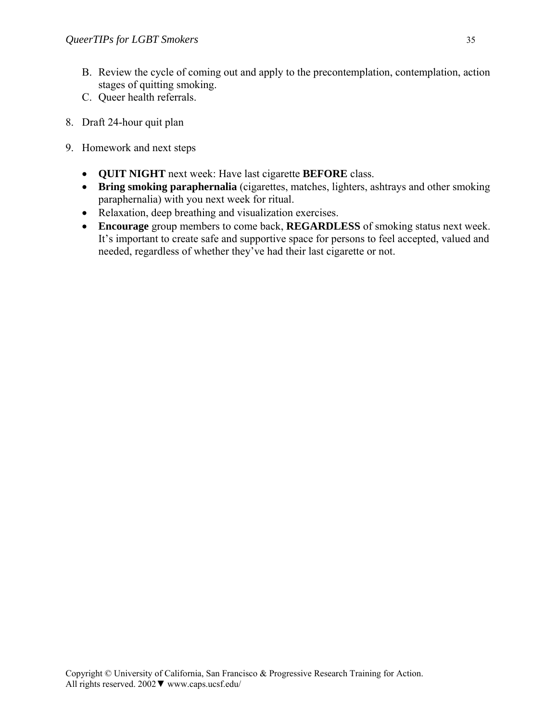- B. Review the cycle of coming out and apply to the precontemplation, contemplation, action stages of quitting smoking.
- C. Queer health referrals.
- 8. Draft 24-hour quit plan
- 9. Homework and next steps
	- **QUIT NIGHT** next week: Have last cigarette **BEFORE** class.
	- **Bring smoking paraphernalia** (cigarettes, matches, lighters, ashtrays and other smoking paraphernalia) with you next week for ritual.
	- Relaxation, deep breathing and visualization exercises.
	- **Encourage** group members to come back, **REGARDLESS** of smoking status next week. It's important to create safe and supportive space for persons to feel accepted, valued and needed, regardless of whether they've had their last cigarette or not.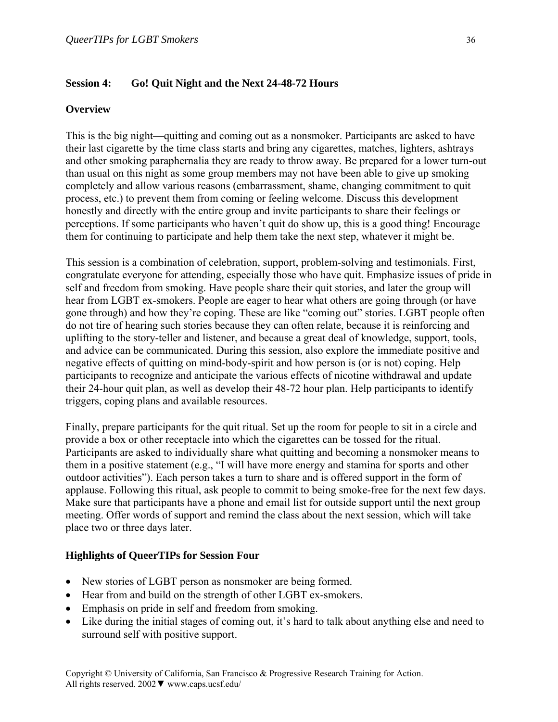#### **Session 4: Go! Quit Night and the Next 24-48-72 Hours**

#### **Overview**

This is the big night—quitting and coming out as a nonsmoker. Participants are asked to have their last cigarette by the time class starts and bring any cigarettes, matches, lighters, ashtrays and other smoking paraphernalia they are ready to throw away. Be prepared for a lower turn-out than usual on this night as some group members may not have been able to give up smoking completely and allow various reasons (embarrassment, shame, changing commitment to quit process, etc.) to prevent them from coming or feeling welcome. Discuss this development honestly and directly with the entire group and invite participants to share their feelings or perceptions. If some participants who haven't quit do show up, this is a good thing! Encourage them for continuing to participate and help them take the next step, whatever it might be.

This session is a combination of celebration, support, problem-solving and testimonials. First, congratulate everyone for attending, especially those who have quit. Emphasize issues of pride in self and freedom from smoking. Have people share their quit stories, and later the group will hear from LGBT ex-smokers. People are eager to hear what others are going through (or have gone through) and how they're coping. These are like "coming out" stories. LGBT people often do not tire of hearing such stories because they can often relate, because it is reinforcing and uplifting to the story-teller and listener, and because a great deal of knowledge, support, tools, and advice can be communicated. During this session, also explore the immediate positive and negative effects of quitting on mind-body-spirit and how person is (or is not) coping. Help participants to recognize and anticipate the various effects of nicotine withdrawal and update their 24-hour quit plan, as well as develop their 48-72 hour plan. Help participants to identify triggers, coping plans and available resources.

Finally, prepare participants for the quit ritual. Set up the room for people to sit in a circle and provide a box or other receptacle into which the cigarettes can be tossed for the ritual. Participants are asked to individually share what quitting and becoming a nonsmoker means to them in a positive statement (e.g., "I will have more energy and stamina for sports and other outdoor activities"). Each person takes a turn to share and is offered support in the form of applause. Following this ritual, ask people to commit to being smoke-free for the next few days. Make sure that participants have a phone and email list for outside support until the next group meeting. Offer words of support and remind the class about the next session, which will take place two or three days later.

#### **Highlights of QueerTIPs for Session Four**

- New stories of LGBT person as nonsmoker are being formed.
- Hear from and build on the strength of other LGBT ex-smokers.
- Emphasis on pride in self and freedom from smoking.
- Like during the initial stages of coming out, it's hard to talk about anything else and need to surround self with positive support.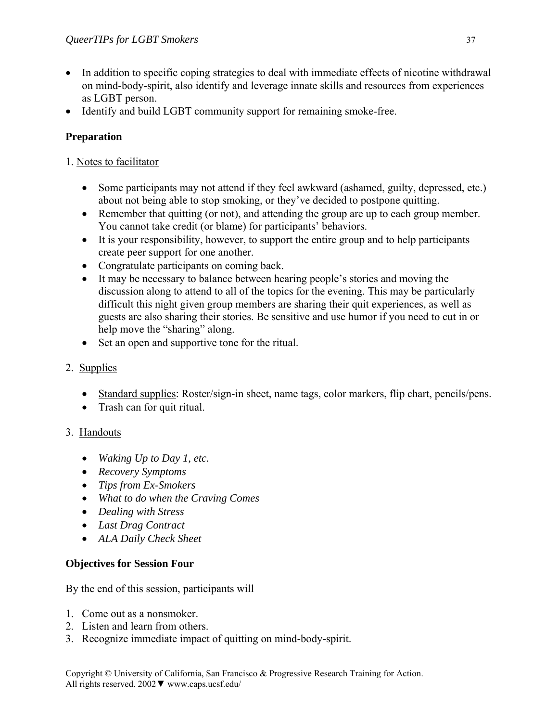- In addition to specific coping strategies to deal with immediate effects of nicotine withdrawal on mind-body-spirit, also identify and leverage innate skills and resources from experiences as LGBT person.
- Identify and build LGBT community support for remaining smoke-free.

# **Preparation**

### 1. Notes to facilitator

- Some participants may not attend if they feel awkward (ashamed, guilty, depressed, etc.) about not being able to stop smoking, or they've decided to postpone quitting.
- Remember that quitting (or not), and attending the group are up to each group member. You cannot take credit (or blame) for participants' behaviors.
- It is your responsibility, however, to support the entire group and to help participants create peer support for one another.
- Congratulate participants on coming back.
- It may be necessary to balance between hearing people's stories and moving the discussion along to attend to all of the topics for the evening. This may be particularly difficult this night given group members are sharing their quit experiences, as well as guests are also sharing their stories. Be sensitive and use humor if you need to cut in or help move the "sharing" along.
- Set an open and supportive tone for the ritual.

# 2. Supplies

- Standard supplies: Roster/sign-in sheet, name tags, color markers, flip chart, pencils/pens.
- Trash can for quit ritual.

# 3. Handouts

- *Waking Up to Day 1, etc.*
- *Recovery Symptoms*
- *Tips from Ex-Smokers*
- *What to do when the Craving Comes*
- *Dealing with Stress*
- *Last Drag Contract*
- *ALA Daily Check Sheet*

# **Objectives for Session Four**

By the end of this session, participants will

- 1. Come out as a nonsmoker.
- 2. Listen and learn from others.
- 3. Recognize immediate impact of quitting on mind-body-spirit.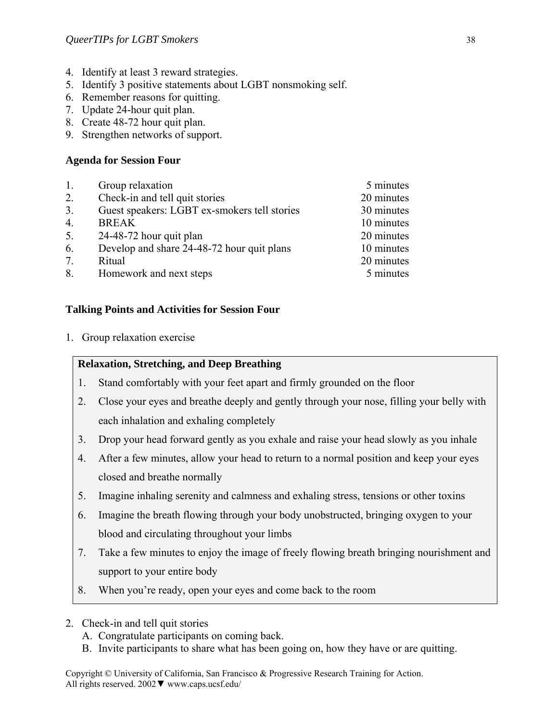- 4. Identify at least 3 reward strategies.
- 5. Identify 3 positive statements about LGBT nonsmoking self.
- 6. Remember reasons for quitting.
- 7. Update 24-hour quit plan.
- 8. Create 48-72 hour quit plan.
- 9. Strengthen networks of support.

### **Agenda for Session Four**

| 1.               | Group relaxation                             | 5 minutes  |
|------------------|----------------------------------------------|------------|
| 2.               | Check-in and tell quit stories               | 20 minutes |
| 3.               | Guest speakers: LGBT ex-smokers tell stories | 30 minutes |
| $\overline{4}$ . | <b>BREAK</b>                                 | 10 minutes |
| 5.               | 24-48-72 hour quit plan                      | 20 minutes |
| 6.               | Develop and share 24-48-72 hour quit plans   | 10 minutes |
| 7.               | Ritual                                       | 20 minutes |
| 8.               | Homework and next steps                      | 5 minutes  |
|                  |                                              |            |

# **Talking Points and Activities for Session Four**

1. Group relaxation exercise

### **Relaxation, Stretching, and Deep Breathing**

- 1. Stand comfortably with your feet apart and firmly grounded on the floor
- 2. Close your eyes and breathe deeply and gently through your nose, filling your belly with each inhalation and exhaling completely
- 3. Drop your head forward gently as you exhale and raise your head slowly as you inhale
- 4. After a few minutes, allow your head to return to a normal position and keep your eyes closed and breathe normally
- 5. Imagine inhaling serenity and calmness and exhaling stress, tensions or other toxins
- 6. Imagine the breath flowing through your body unobstructed, bringing oxygen to your blood and circulating throughout your limbs
- 7. Take a few minutes to enjoy the image of freely flowing breath bringing nourishment and support to your entire body
- 8. When you're ready, open your eyes and come back to the room
- 2. Check-in and tell quit stories
	- A. Congratulate participants on coming back.
	- B. Invite participants to share what has been going on, how they have or are quitting.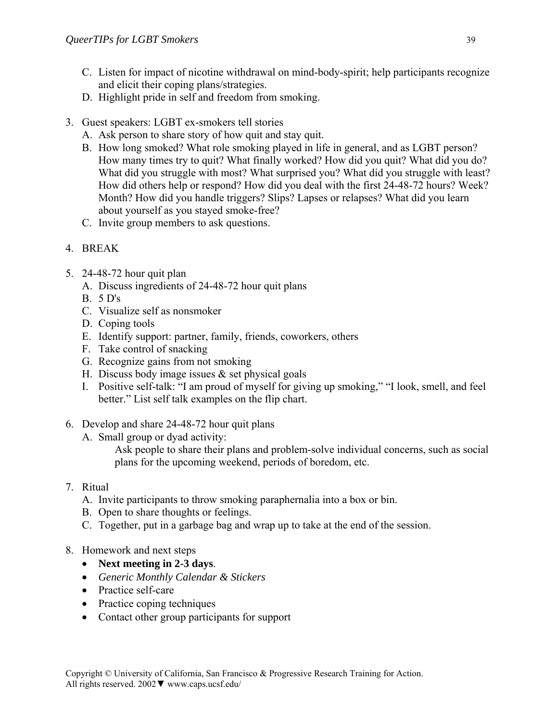- C. Listen for impact of nicotine withdrawal on mind-body-spirit; help participants recognize and elicit their coping plans/strategies.
- D. Highlight pride in self and freedom from smoking.
- 3. Guest speakers: LGBT ex-smokers tell stories
	- A. Ask person to share story of how quit and stay quit.
	- B. How long smoked? What role smoking played in life in general, and as LGBT person? How many times try to quit? What finally worked? How did you quit? What did you do? What did you struggle with most? What surprised you? What did you struggle with least? How did others help or respond? How did you deal with the first 24-48-72 hours? Week? Month? How did you handle triggers? Slips? Lapses or relapses? What did you learn about yourself as you stayed smoke-free?
	- C. Invite group members to ask questions.
- 4. BREAK
- 5. 24-48-72 hour quit plan
	- A. Discuss ingredients of 24-48-72 hour quit plans
	- B. 5 D's
	- C. Visualize self as nonsmoker
	- D. Coping tools
	- E. Identify support: partner, family, friends, coworkers, others
	- F. Take control of snacking
	- G. Recognize gains from not smoking
	- H. Discuss body image issues  $&$  set physical goals
	- I. Positive self-talk: "I am proud of myself for giving up smoking," "I look, smell, and feel better." List self talk examples on the flip chart.
- 6. Develop and share 24-48-72 hour quit plans
	- A. Small group or dyad activity:
		- Ask people to share their plans and problem-solve individual concerns, such as social plans for the upcoming weekend, periods of boredom, etc.

# 7. Ritual

- A. Invite participants to throw smoking paraphernalia into a box or bin.
- B. Open to share thoughts or feelings.
- C. Together, put in a garbage bag and wrap up to take at the end of the session.
- 8. Homework and next steps
	- **Next meeting in 2-3 days**.
	- *Generic Monthly Calendar & Stickers*
	- Practice self-care
	- Practice coping techniques
	- Contact other group participants for support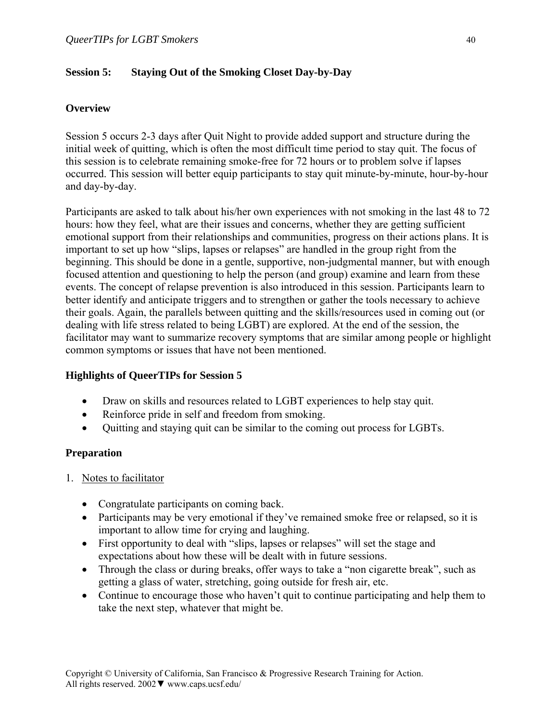### **Session 5: Staying Out of the Smoking Closet Day-by-Day**

### **Overview**

Session 5 occurs 2-3 days after Quit Night to provide added support and structure during the initial week of quitting, which is often the most difficult time period to stay quit. The focus of this session is to celebrate remaining smoke-free for 72 hours or to problem solve if lapses occurred. This session will better equip participants to stay quit minute-by-minute, hour-by-hour and day-by-day.

Participants are asked to talk about his/her own experiences with not smoking in the last 48 to 72 hours: how they feel, what are their issues and concerns, whether they are getting sufficient emotional support from their relationships and communities, progress on their actions plans. It is important to set up how "slips, lapses or relapses" are handled in the group right from the beginning. This should be done in a gentle, supportive, non-judgmental manner, but with enough focused attention and questioning to help the person (and group) examine and learn from these events. The concept of relapse prevention is also introduced in this session. Participants learn to better identify and anticipate triggers and to strengthen or gather the tools necessary to achieve their goals. Again, the parallels between quitting and the skills/resources used in coming out (or dealing with life stress related to being LGBT) are explored. At the end of the session, the facilitator may want to summarize recovery symptoms that are similar among people or highlight common symptoms or issues that have not been mentioned.

### **Highlights of QueerTIPs for Session 5**

- Draw on skills and resources related to LGBT experiences to help stay quit.
- Reinforce pride in self and freedom from smoking.
- Quitting and staying quit can be similar to the coming out process for LGBTs.

### **Preparation**

- 1. Notes to facilitator
	- Congratulate participants on coming back.
	- Participants may be very emotional if they've remained smoke free or relapsed, so it is important to allow time for crying and laughing.
	- First opportunity to deal with "slips, lapses or relapses" will set the stage and expectations about how these will be dealt with in future sessions.
	- Through the class or during breaks, offer ways to take a "non cigarette break", such as getting a glass of water, stretching, going outside for fresh air, etc.
	- Continue to encourage those who haven't quit to continue participating and help them to take the next step, whatever that might be.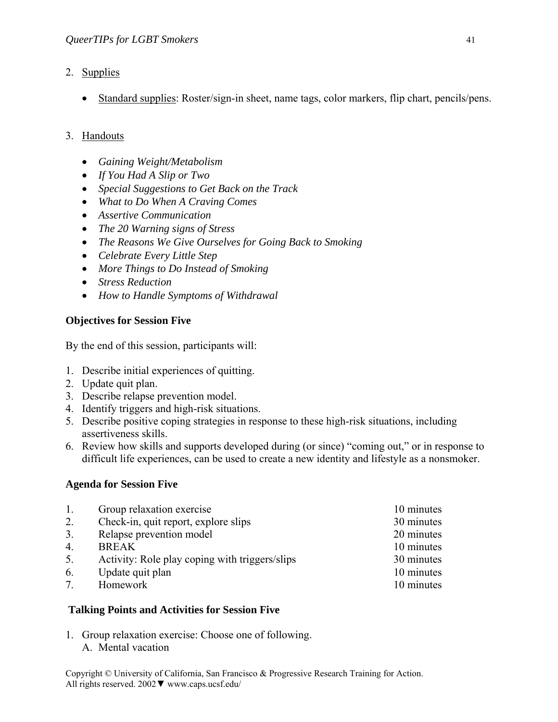- 2. Supplies
	- Standard supplies: Roster/sign-in sheet, name tags, color markers, flip chart, pencils/pens.

# 3. Handouts

- *Gaining Weight/Metabolism*
- *If You Had A Slip or Two*
- *Special Suggestions to Get Back on the Track*
- *What to Do When A Craving Comes*
- *Assertive Communication*
- *The 20 Warning signs of Stress*
- *The Reasons We Give Ourselves for Going Back to Smoking*
- *Celebrate Every Little Step*
- *More Things to Do Instead of Smoking*
- *Stress Reduction*
- *How to Handle Symptoms of Withdrawal*

# **Objectives for Session Five**

By the end of this session, participants will:

- 1. Describe initial experiences of quitting.
- 2. Update quit plan.
- 3. Describe relapse prevention model.
- 4. Identify triggers and high-risk situations.
- 5. Describe positive coping strategies in response to these high-risk situations, including assertiveness skills.
- 6. Review how skills and supports developed during (or since) "coming out," or in response to difficult life experiences, can be used to create a new identity and lifestyle as a nonsmoker.

### **Agenda for Session Five**

| Group relaxation exercise                      | 10 minutes |
|------------------------------------------------|------------|
| Check-in, quit report, explore slips           | 30 minutes |
| Relapse prevention model                       | 20 minutes |
| <b>BREAK</b>                                   | 10 minutes |
| Activity: Role play coping with triggers/slips | 30 minutes |
| Update quit plan                               | 10 minutes |
| Homework                                       | 10 minutes |
|                                                |            |

### **Talking Points and Activities for Session Five**

1. Group relaxation exercise: Choose one of following. A. Mental vacation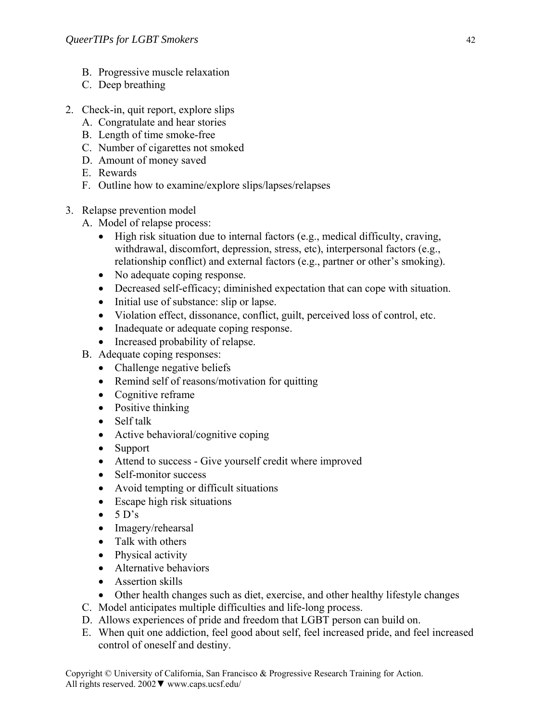- B. Progressive muscle relaxation
- C. Deep breathing
- 2. Check-in, quit report, explore slips
	- A. Congratulate and hear stories
	- B. Length of time smoke-free
	- C. Number of cigarettes not smoked
	- D. Amount of money saved
	- E. Rewards
	- F. Outline how to examine/explore slips/lapses/relapses
- 3. Relapse prevention model
	- A. Model of relapse process:
		- High risk situation due to internal factors (e.g., medical difficulty, craving, withdrawal, discomfort, depression, stress, etc), interpersonal factors (e.g., relationship conflict) and external factors (e.g., partner or other's smoking).
		- No adequate coping response.
		- Decreased self-efficacy; diminished expectation that can cope with situation.
		- Initial use of substance: slip or lapse.
		- Violation effect, dissonance, conflict, guilt, perceived loss of control, etc.
		- Inadequate or adequate coping response.
		- Increased probability of relapse.
	- B. Adequate coping responses:
		- Challenge negative beliefs
		- Remind self of reasons/motivation for quitting
		- Cognitive reframe
		- Positive thinking
		- Self talk
		- Active behavioral/cognitive coping
		- Support
		- Attend to success Give yourself credit where improved
		- Self-monitor success
		- Avoid tempting or difficult situations
		- Escape high risk situations
		- $\bullet$  5 D's
		- Imagery/rehearsal
		- Talk with others
		- Physical activity
		- Alternative behaviors
		- Assertion skills
		- Other health changes such as diet, exercise, and other healthy lifestyle changes
	- C. Model anticipates multiple difficulties and life-long process.
	- D. Allows experiences of pride and freedom that LGBT person can build on.
	- E. When quit one addiction, feel good about self, feel increased pride, and feel increased control of oneself and destiny.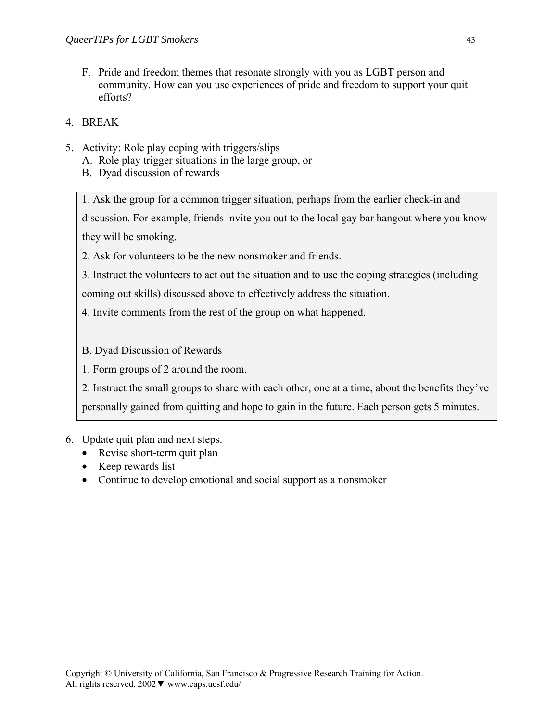- F. Pride and freedom themes that resonate strongly with you as LGBT person and community. How can you use experiences of pride and freedom to support your quit efforts?
- 4. BREAK
- 5. Activity: Role play coping with triggers/slips
	- A. Role play trigger situations in the large group, or
	- B. Dyad discussion of rewards

1. Ask the group for a common trigger situation, perhaps from the earlier check-in and discussion. For example, friends invite you out to the local gay bar hangout where you know they will be smoking.

2. Ask for volunteers to be the new nonsmoker and friends.

3. Instruct the volunteers to act out the situation and to use the coping strategies (including

coming out skills) discussed above to effectively address the situation.

4. Invite comments from the rest of the group on what happened.

B. Dyad Discussion of Rewards

1. Form groups of 2 around the room.

2. Instruct the small groups to share with each other, one at a time, about the benefits they've

personally gained from quitting and hope to gain in the future. Each person gets 5 minutes.

- 6. Update quit plan and next steps.
	- Revise short-term quit plan
	- Keep rewards list
	- Continue to develop emotional and social support as a nonsmoker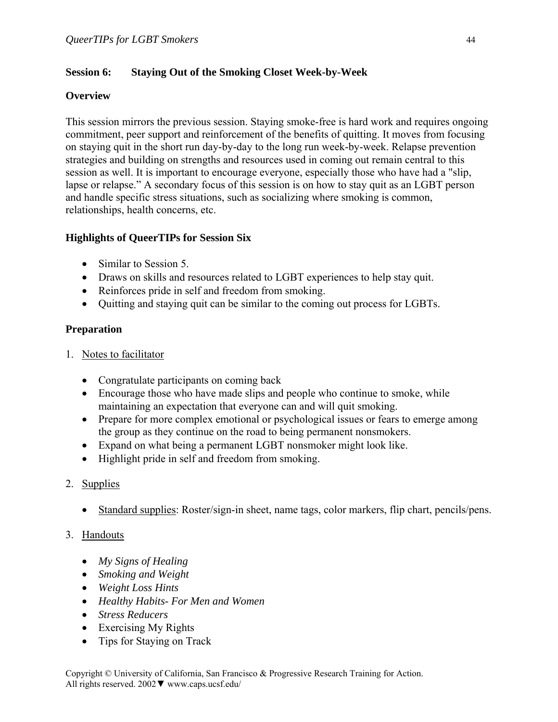### **Session 6: Staying Out of the Smoking Closet Week-by-Week**

#### **Overview**

This session mirrors the previous session. Staying smoke-free is hard work and requires ongoing commitment, peer support and reinforcement of the benefits of quitting. It moves from focusing on staying quit in the short run day-by-day to the long run week-by-week. Relapse prevention strategies and building on strengths and resources used in coming out remain central to this session as well. It is important to encourage everyone, especially those who have had a "slip, lapse or relapse." A secondary focus of this session is on how to stay quit as an LGBT person and handle specific stress situations, such as socializing where smoking is common, relationships, health concerns, etc.

### **Highlights of QueerTIPs for Session Six**

- Similar to Session 5.
- Draws on skills and resources related to LGBT experiences to help stay quit.
- Reinforces pride in self and freedom from smoking.
- Quitting and staying quit can be similar to the coming out process for LGBTs.

### **Preparation**

- 1. Notes to facilitator
	- Congratulate participants on coming back
	- Encourage those who have made slips and people who continue to smoke, while maintaining an expectation that everyone can and will quit smoking.
	- Prepare for more complex emotional or psychological issues or fears to emerge among the group as they continue on the road to being permanent nonsmokers.
	- Expand on what being a permanent LGBT nonsmoker might look like.
	- Highlight pride in self and freedom from smoking.

# 2. Supplies

• Standard supplies: Roster/sign-in sheet, name tags, color markers, flip chart, pencils/pens.

### 3. Handouts

- *My Signs of Healing*
- *Smoking and Weight*
- *Weight Loss Hints*
- *Healthy Habits- For Men and Women*
- *Stress Reducers*
- Exercising My Rights
- Tips for Staying on Track

Copyright © University of California, San Francisco & Progressive Research Training for Action. All rights reserved. 2002▼ www.caps.ucsf.edu/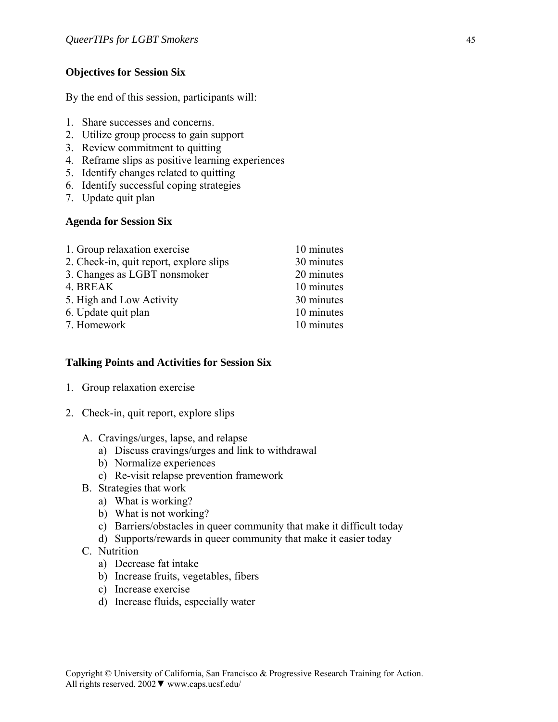### **Objectives for Session Six**

By the end of this session, participants will:

- 1. Share successes and concerns.
- 2. Utilize group process to gain support
- 3. Review commitment to quitting
- 4. Reframe slips as positive learning experiences
- 5. Identify changes related to quitting
- 6. Identify successful coping strategies
- 7. Update quit plan

### **Agenda for Session Six**

| 1. Group relaxation exercise            | 10 minutes |
|-----------------------------------------|------------|
| 2. Check-in, quit report, explore slips | 30 minutes |
| 3. Changes as LGBT nonsmoker            | 20 minutes |
| 4. BREAK                                | 10 minutes |
| 5. High and Low Activity                | 30 minutes |
| 6. Update quit plan                     | 10 minutes |
| 7. Homework                             | 10 minutes |

### **Talking Points and Activities for Session Six**

- 1. Group relaxation exercise
- 2. Check-in, quit report, explore slips
	- A. Cravings/urges, lapse, and relapse
		- a) Discuss cravings/urges and link to withdrawal
		- b) Normalize experiences
		- c) Re-visit relapse prevention framework
	- B. Strategies that work
		- a) What is working?
		- b) What is not working?
		- c) Barriers/obstacles in queer community that make it difficult today
		- d) Supports/rewards in queer community that make it easier today
	- C. Nutrition
		- a) Decrease fat intake
		- b) Increase fruits, vegetables, fibers
		- c) Increase exercise
		- d) Increase fluids, especially water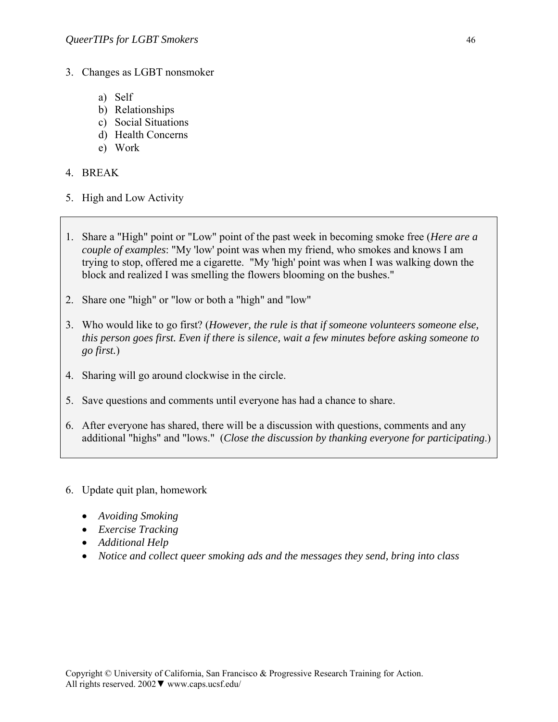- 3. Changes as LGBT nonsmoker
	- a) Self
	- b) Relationships
	- c) Social Situations
	- d) Health Concerns
	- e) Work

#### 4. BREAK

- 5. High and Low Activity
- 1. Share a "High" point or "Low" point of the past week in becoming smoke free (*Here are a couple of examples*: "My 'low' point was when my friend, who smokes and knows I am trying to stop, offered me a cigarette. "My 'high' point was when I was walking down the block and realized I was smelling the flowers blooming on the bushes."
- 2. Share one "high" or "low or both a "high" and "low"
- 3. Who would like to go first? (*However, the rule is that if someone volunteers someone else, this person goes first. Even if there is silence, wait a few minutes before asking someone to go first.*)
- 4. Sharing will go around clockwise in the circle.
- 5. Save questions and comments until everyone has had a chance to share.
- 6. After everyone has shared, there will be a discussion with questions, comments and any additional "highs" and "lows." (*Close the discussion by thanking everyone for participating*.)
- 6. Update quit plan, homework
	- *Avoiding Smoking*
	- *Exercise Tracking*
	- *Additional Help*
	- *Notice and collect queer smoking ads and the messages they send, bring into class*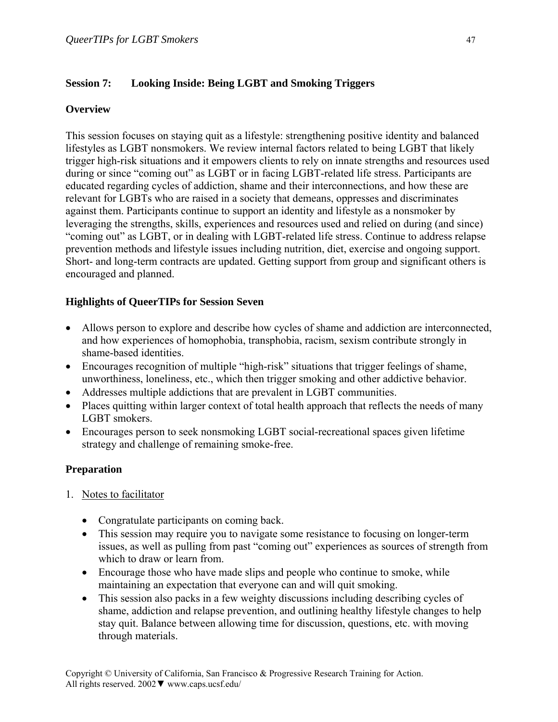### **Session 7: Looking Inside: Being LGBT and Smoking Triggers**

### **Overview**

This session focuses on staying quit as a lifestyle: strengthening positive identity and balanced lifestyles as LGBT nonsmokers. We review internal factors related to being LGBT that likely trigger high-risk situations and it empowers clients to rely on innate strengths and resources used during or since "coming out" as LGBT or in facing LGBT-related life stress. Participants are educated regarding cycles of addiction, shame and their interconnections, and how these are relevant for LGBTs who are raised in a society that demeans, oppresses and discriminates against them. Participants continue to support an identity and lifestyle as a nonsmoker by leveraging the strengths, skills, experiences and resources used and relied on during (and since) "coming out" as LGBT, or in dealing with LGBT-related life stress. Continue to address relapse prevention methods and lifestyle issues including nutrition, diet, exercise and ongoing support. Short- and long-term contracts are updated. Getting support from group and significant others is encouraged and planned.

### **Highlights of QueerTIPs for Session Seven**

- Allows person to explore and describe how cycles of shame and addiction are interconnected, and how experiences of homophobia, transphobia, racism, sexism contribute strongly in shame-based identities.
- Encourages recognition of multiple "high-risk" situations that trigger feelings of shame, unworthiness, loneliness, etc., which then trigger smoking and other addictive behavior.
- Addresses multiple addictions that are prevalent in LGBT communities.
- Places quitting within larger context of total health approach that reflects the needs of many LGBT smokers.
- Encourages person to seek nonsmoking LGBT social-recreational spaces given lifetime strategy and challenge of remaining smoke-free.

### **Preparation**

- 1. Notes to facilitator
	- Congratulate participants on coming back.
	- This session may require you to navigate some resistance to focusing on longer-term issues, as well as pulling from past "coming out" experiences as sources of strength from which to draw or learn from.
	- Encourage those who have made slips and people who continue to smoke, while maintaining an expectation that everyone can and will quit smoking.
	- This session also packs in a few weighty discussions including describing cycles of shame, addiction and relapse prevention, and outlining healthy lifestyle changes to help stay quit. Balance between allowing time for discussion, questions, etc. with moving through materials.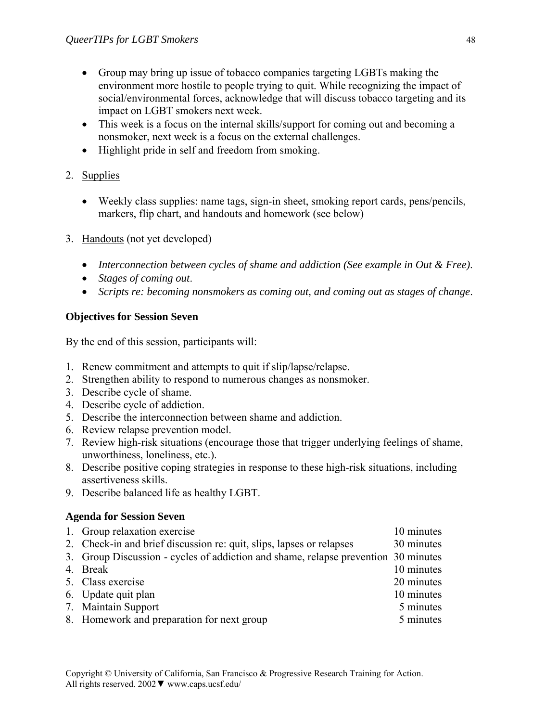- Group may bring up issue of tobacco companies targeting LGBTs making the environment more hostile to people trying to quit. While recognizing the impact of social/environmental forces, acknowledge that will discuss tobacco targeting and its impact on LGBT smokers next week.
- This week is a focus on the internal skills/support for coming out and becoming a nonsmoker, next week is a focus on the external challenges.
- Highlight pride in self and freedom from smoking.

# 2. Supplies

- Weekly class supplies: name tags, sign-in sheet, smoking report cards, pens/pencils, markers, flip chart, and handouts and homework (see below)
- 3. Handouts (not yet developed)
	- *Interconnection between cycles of shame and addiction (See example in Out & Free)*.
	- *Stages of coming out*.
	- *Scripts re: becoming nonsmokers as coming out, and coming out as stages of change*.

# **Objectives for Session Seven**

By the end of this session, participants will:

- 1. Renew commitment and attempts to quit if slip/lapse/relapse.
- 2. Strengthen ability to respond to numerous changes as nonsmoker.
- 3. Describe cycle of shame.
- 4. Describe cycle of addiction.
- 5. Describe the interconnection between shame and addiction.
- 6. Review relapse prevention model.
- 7. Review high-risk situations (encourage those that trigger underlying feelings of shame, unworthiness, loneliness, etc.).
- 8. Describe positive coping strategies in response to these high-risk situations, including assertiveness skills.
- 9. Describe balanced life as healthy LGBT.

# **Agenda for Session Seven**

| 1. Group relaxation exercise                                                       | 10 minutes |
|------------------------------------------------------------------------------------|------------|
| 2. Check-in and brief discussion re: quit, slips, lapses or relapses               | 30 minutes |
| 3. Group Discussion - cycles of addiction and shame, relapse prevention 30 minutes |            |
| 4. Break                                                                           | 10 minutes |
| 5. Class exercise                                                                  | 20 minutes |
| 6. Update quit plan                                                                | 10 minutes |
| 7. Maintain Support                                                                | 5 minutes  |
| 8. Homework and preparation for next group                                         | 5 minutes  |
|                                                                                    |            |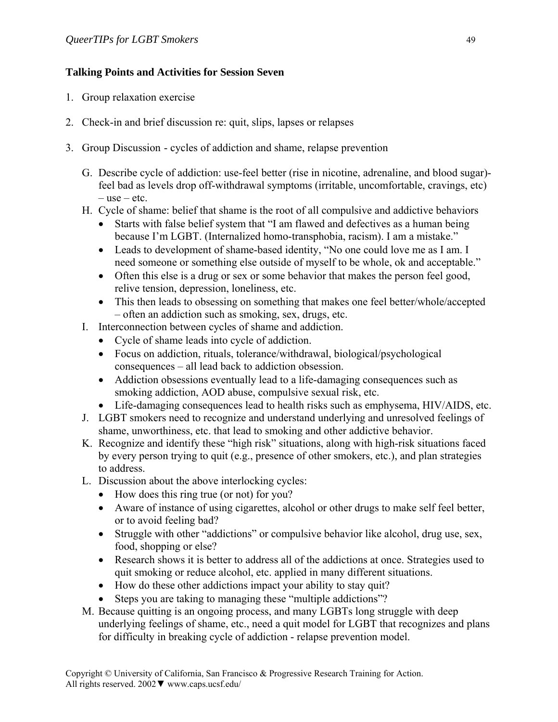### **Talking Points and Activities for Session Seven**

- 1. Group relaxation exercise
- 2. Check-in and brief discussion re: quit, slips, lapses or relapses
- 3. Group Discussion cycles of addiction and shame, relapse prevention
	- G. Describe cycle of addiction: use-feel better (rise in nicotine, adrenaline, and blood sugar) feel bad as levels drop off-withdrawal symptoms (irritable, uncomfortable, cravings, etc) – use – etc.
	- H. Cycle of shame: belief that shame is the root of all compulsive and addictive behaviors
		- Starts with false belief system that "I am flawed and defectives as a human being because I'm LGBT. (Internalized homo-transphobia, racism). I am a mistake."
		- Leads to development of shame-based identity, "No one could love me as I am. I need someone or something else outside of myself to be whole, ok and acceptable."
		- Often this else is a drug or sex or some behavior that makes the person feel good, relive tension, depression, loneliness, etc.
		- This then leads to obsessing on something that makes one feel better/whole/accepted – often an addiction such as smoking, sex, drugs, etc.
	- I. Interconnection between cycles of shame and addiction.
		- Cycle of shame leads into cycle of addiction.
		- Focus on addiction, rituals, tolerance/withdrawal, biological/psychological consequences – all lead back to addiction obsession.
		- Addiction obsessions eventually lead to a life-damaging consequences such as smoking addiction, AOD abuse, compulsive sexual risk, etc.
		- Life-damaging consequences lead to health risks such as emphysema, HIV/AIDS, etc.
	- J. LGBT smokers need to recognize and understand underlying and unresolved feelings of shame, unworthiness, etc. that lead to smoking and other addictive behavior.
	- K. Recognize and identify these "high risk" situations, along with high-risk situations faced by every person trying to quit (e.g., presence of other smokers, etc.), and plan strategies to address.
	- L. Discussion about the above interlocking cycles:
		- How does this ring true (or not) for you?
		- Aware of instance of using cigarettes, alcohol or other drugs to make self feel better, or to avoid feeling bad?
		- Struggle with other "addictions" or compulsive behavior like alcohol, drug use, sex, food, shopping or else?
		- Research shows it is better to address all of the addictions at once. Strategies used to quit smoking or reduce alcohol, etc. applied in many different situations.
		- How do these other addictions impact your ability to stay quit?
		- Steps you are taking to managing these "multiple addictions"?
	- M. Because quitting is an ongoing process, and many LGBTs long struggle with deep underlying feelings of shame, etc., need a quit model for LGBT that recognizes and plans for difficulty in breaking cycle of addiction - relapse prevention model.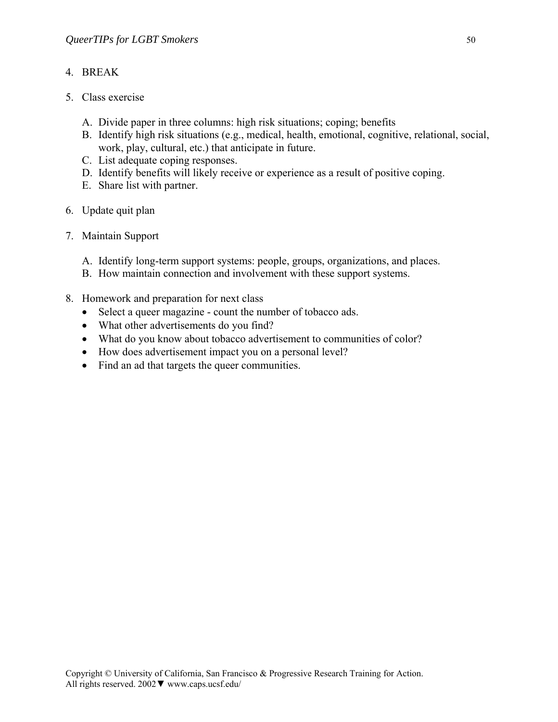### 4. BREAK

- 5. Class exercise
	- A. Divide paper in three columns: high risk situations; coping; benefits
	- B. Identify high risk situations (e.g., medical, health, emotional, cognitive, relational, social, work, play, cultural, etc.) that anticipate in future.
	- C. List adequate coping responses.
	- D. Identify benefits will likely receive or experience as a result of positive coping.
	- E. Share list with partner.
- 6. Update quit plan
- 7. Maintain Support
	- A. Identify long-term support systems: people, groups, organizations, and places.
	- B. How maintain connection and involvement with these support systems.
- 8. Homework and preparation for next class
	- Select a queer magazine count the number of tobacco ads.
	- What other advertisements do you find?
	- What do you know about tobacco advertisement to communities of color?
	- How does advertisement impact you on a personal level?
	- Find an ad that targets the queer communities.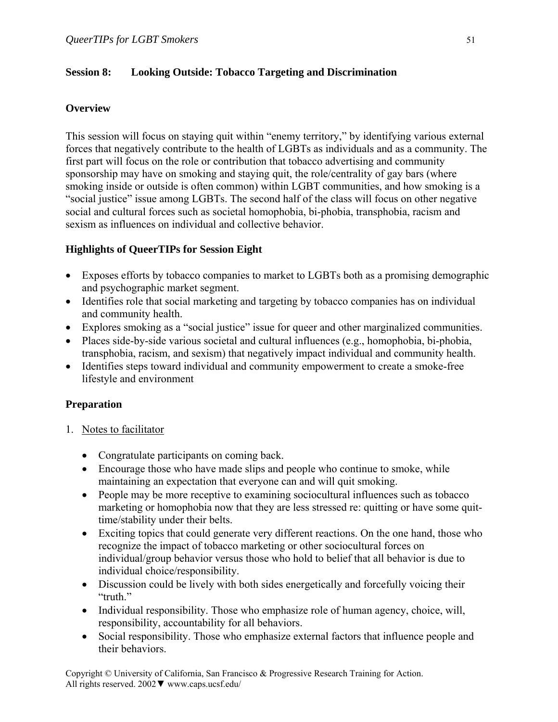### **Session 8: Looking Outside: Tobacco Targeting and Discrimination**

### **Overview**

This session will focus on staying quit within "enemy territory," by identifying various external forces that negatively contribute to the health of LGBTs as individuals and as a community. The first part will focus on the role or contribution that tobacco advertising and community sponsorship may have on smoking and staying quit, the role/centrality of gay bars (where smoking inside or outside is often common) within LGBT communities, and how smoking is a "social justice" issue among LGBTs. The second half of the class will focus on other negative social and cultural forces such as societal homophobia, bi-phobia, transphobia, racism and sexism as influences on individual and collective behavior.

### **Highlights of QueerTIPs for Session Eight**

- Exposes efforts by tobacco companies to market to LGBTs both as a promising demographic and psychographic market segment.
- Identifies role that social marketing and targeting by tobacco companies has on individual and community health.
- Explores smoking as a "social justice" issue for queer and other marginalized communities.
- Places side-by-side various societal and cultural influences (e.g., homophobia, bi-phobia, transphobia, racism, and sexism) that negatively impact individual and community health.
- Identifies steps toward individual and community empowerment to create a smoke-free lifestyle and environment

### **Preparation**

- 1. Notes to facilitator
	- Congratulate participants on coming back.
	- Encourage those who have made slips and people who continue to smoke, while maintaining an expectation that everyone can and will quit smoking.
	- People may be more receptive to examining sociocultural influences such as tobacco marketing or homophobia now that they are less stressed re: quitting or have some quittime/stability under their belts.
	- Exciting topics that could generate very different reactions. On the one hand, those who recognize the impact of tobacco marketing or other sociocultural forces on individual/group behavior versus those who hold to belief that all behavior is due to individual choice/responsibility.
	- Discussion could be lively with both sides energetically and forcefully voicing their "truth."
	- Individual responsibility. Those who emphasize role of human agency, choice, will, responsibility, accountability for all behaviors.
	- Social responsibility. Those who emphasize external factors that influence people and their behaviors.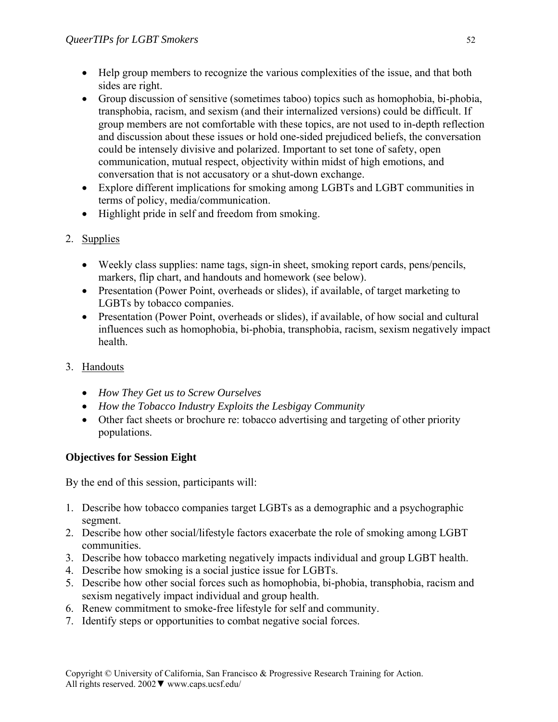- Help group members to recognize the various complexities of the issue, and that both sides are right.
- Group discussion of sensitive (sometimes taboo) topics such as homophobia, bi-phobia, transphobia, racism, and sexism (and their internalized versions) could be difficult. If group members are not comfortable with these topics, are not used to in-depth reflection and discussion about these issues or hold one-sided prejudiced beliefs, the conversation could be intensely divisive and polarized. Important to set tone of safety, open communication, mutual respect, objectivity within midst of high emotions, and conversation that is not accusatory or a shut-down exchange.
- Explore different implications for smoking among LGBTs and LGBT communities in terms of policy, media/communication.
- Highlight pride in self and freedom from smoking.
- 2. Supplies
	- Weekly class supplies: name tags, sign-in sheet, smoking report cards, pens/pencils, markers, flip chart, and handouts and homework (see below).
	- Presentation (Power Point, overheads or slides), if available, of target marketing to LGBTs by tobacco companies.
	- Presentation (Power Point, overheads or slides), if available, of how social and cultural influences such as homophobia, bi-phobia, transphobia, racism, sexism negatively impact health.
- 3. Handouts
	- *How They Get us to Screw Ourselves*
	- *How the Tobacco Industry Exploits the Lesbigay Community*
	- Other fact sheets or brochure re: tobacco advertising and targeting of other priority populations.

# **Objectives for Session Eight**

By the end of this session, participants will:

- 1. Describe how tobacco companies target LGBTs as a demographic and a psychographic segment.
- 2. Describe how other social/lifestyle factors exacerbate the role of smoking among LGBT communities.
- 3. Describe how tobacco marketing negatively impacts individual and group LGBT health.
- 4. Describe how smoking is a social justice issue for LGBTs.
- 5. Describe how other social forces such as homophobia, bi-phobia, transphobia, racism and sexism negatively impact individual and group health.
- 6. Renew commitment to smoke-free lifestyle for self and community.
- 7. Identify steps or opportunities to combat negative social forces.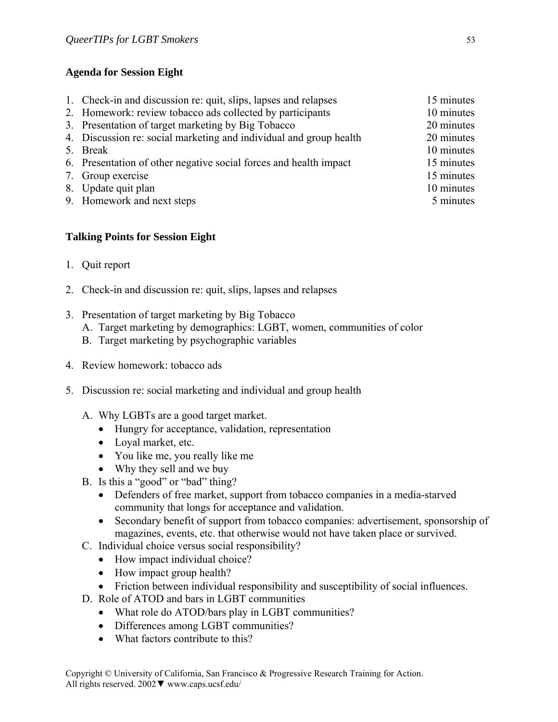### **Agenda for Session Eight**

| 1. Check-in and discussion re: quit, slips, lapses and relapses    | 15 minutes |
|--------------------------------------------------------------------|------------|
| 2. Homework: review tobacco ads collected by participants          | 10 minutes |
| 3. Presentation of target marketing by Big Tobacco                 | 20 minutes |
| 4. Discussion re: social marketing and individual and group health | 20 minutes |
| 5. Break                                                           | 10 minutes |
| 6. Presentation of other negative social forces and health impact  | 15 minutes |
| 7. Group exercise                                                  | 15 minutes |
| 8. Update quit plan                                                | 10 minutes |
| 9. Homework and next steps                                         | 5 minutes  |
|                                                                    |            |

### **Talking Points for Session Eight**

- 1. Quit report
- 2. Check-in and discussion re: quit, slips, lapses and relapses
- 3. Presentation of target marketing by Big Tobacco
	- A. Target marketing by demographics: LGBT, women, communities of color
	- B. Target marketing by psychographic variables
- 4. Review homework: tobacco ads
- 5. Discussion re: social marketing and individual and group health
	- A. Why LGBTs are a good target market.
		- Hungry for acceptance, validation, representation
		- Loyal market, etc.
		- You like me, you really like me
		- Why they sell and we buy
	- B. Is this a "good" or "bad" thing?
		- Defenders of free market, support from tobacco companies in a media-starved community that longs for acceptance and validation.
		- Secondary benefit of support from tobacco companies: advertisement, sponsorship of magazines, events, etc. that otherwise would not have taken place or survived.
	- C. Individual choice versus social responsibility?
		- How impact individual choice?
		- How impact group health?
		- Friction between individual responsibility and susceptibility of social influences.
	- D. Role of ATOD and bars in LGBT communities
		- What role do ATOD/bars play in LGBT communities?
		- Differences among LGBT communities?
		- What factors contribute to this?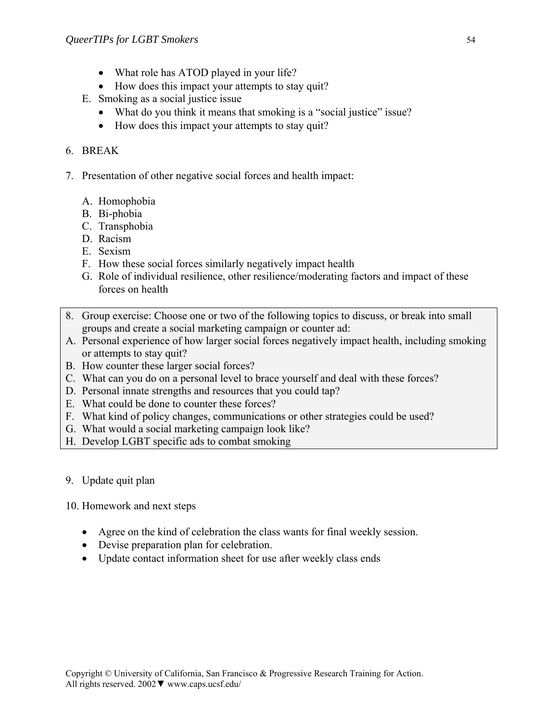- What role has ATOD played in your life?
- How does this impact your attempts to stay quit?
- E. Smoking as a social justice issue
	- What do you think it means that smoking is a "social justice" issue?
	- How does this impact your attempts to stay quit?

### 6. BREAK

- 7. Presentation of other negative social forces and health impact:
	- A. Homophobia
	- B. Bi-phobia
	- C. Transphobia
	- D. Racism
	- E. Sexism
	- F. How these social forces similarly negatively impact health
	- G. Role of individual resilience, other resilience/moderating factors and impact of these forces on health
- 8. Group exercise: Choose one or two of the following topics to discuss, or break into small groups and create a social marketing campaign or counter ad:
- A. Personal experience of how larger social forces negatively impact health, including smoking or attempts to stay quit?
- B. How counter these larger social forces?
- C. What can you do on a personal level to brace yourself and deal with these forces?
- D. Personal innate strengths and resources that you could tap?
- E. What could be done to counter these forces?
- F. What kind of policy changes, communications or other strategies could be used?
- G. What would a social marketing campaign look like?
- H. Develop LGBT specific ads to combat smoking

### 9. Update quit plan

10. Homework and next steps

- Agree on the kind of celebration the class wants for final weekly session.
- Devise preparation plan for celebration.
- Update contact information sheet for use after weekly class ends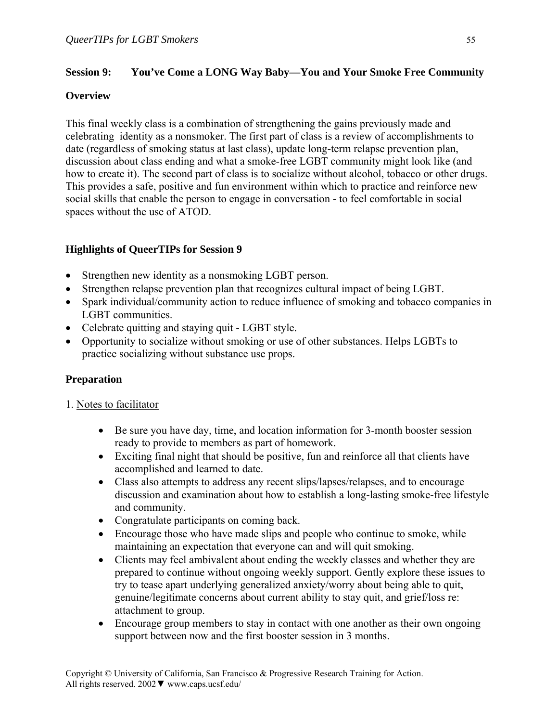### **Session 9: You've Come a LONG Way Baby—You and Your Smoke Free Community**

### **Overview**

This final weekly class is a combination of strengthening the gains previously made and celebrating identity as a nonsmoker. The first part of class is a review of accomplishments to date (regardless of smoking status at last class), update long-term relapse prevention plan, discussion about class ending and what a smoke-free LGBT community might look like (and how to create it). The second part of class is to socialize without alcohol, tobacco or other drugs. This provides a safe, positive and fun environment within which to practice and reinforce new social skills that enable the person to engage in conversation - to feel comfortable in social spaces without the use of ATOD.

# **Highlights of QueerTIPs for Session 9**

- Strengthen new identity as a nonsmoking LGBT person.
- Strengthen relapse prevention plan that recognizes cultural impact of being LGBT.
- Spark individual/community action to reduce influence of smoking and tobacco companies in LGBT communities.
- Celebrate quitting and staying quit LGBT style.
- Opportunity to socialize without smoking or use of other substances. Helps LGBTs to practice socializing without substance use props.

# **Preparation**

# 1. Notes to facilitator

- Be sure you have day, time, and location information for 3-month booster session ready to provide to members as part of homework.
- Exciting final night that should be positive, fun and reinforce all that clients have accomplished and learned to date.
- Class also attempts to address any recent slips/lapses/relapses, and to encourage discussion and examination about how to establish a long-lasting smoke-free lifestyle and community.
- Congratulate participants on coming back.
- Encourage those who have made slips and people who continue to smoke, while maintaining an expectation that everyone can and will quit smoking.
- Clients may feel ambivalent about ending the weekly classes and whether they are prepared to continue without ongoing weekly support. Gently explore these issues to try to tease apart underlying generalized anxiety/worry about being able to quit, genuine/legitimate concerns about current ability to stay quit, and grief/loss re: attachment to group.
- Encourage group members to stay in contact with one another as their own ongoing support between now and the first booster session in 3 months.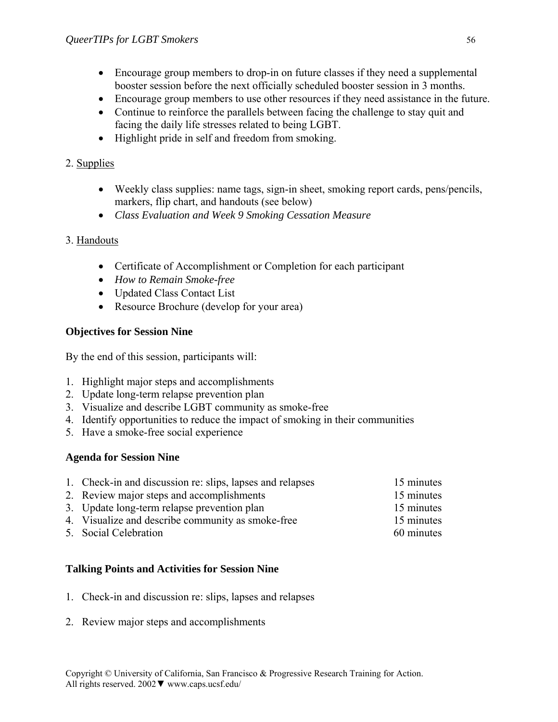- Encourage group members to drop-in on future classes if they need a supplemental booster session before the next officially scheduled booster session in 3 months.
- Encourage group members to use other resources if they need assistance in the future.
- Continue to reinforce the parallels between facing the challenge to stay quit and facing the daily life stresses related to being LGBT.
- Highlight pride in self and freedom from smoking.

# 2. Supplies

- Weekly class supplies: name tags, sign-in sheet, smoking report cards, pens/pencils, markers, flip chart, and handouts (see below)
- *Class Evaluation and Week 9 Smoking Cessation Measure*

# 3. Handouts

- Certificate of Accomplishment or Completion for each participant
- *How to Remain Smoke-free*
- Updated Class Contact List
- Resource Brochure (develop for your area)

# **Objectives for Session Nine**

By the end of this session, participants will:

- 1. Highlight major steps and accomplishments
- 2. Update long-term relapse prevention plan
- 3. Visualize and describe LGBT community as smoke-free
- 4. Identify opportunities to reduce the impact of smoking in their communities
- 5. Have a smoke-free social experience

# **Agenda for Session Nine**

| 1. Check-in and discussion re: slips, lapses and relapses | 15 minutes |
|-----------------------------------------------------------|------------|
| 2. Review major steps and accomplishments                 | 15 minutes |
| 3. Update long-term relapse prevention plan               | 15 minutes |
| 4. Visualize and describe community as smoke-free         | 15 minutes |
| 5. Social Celebration                                     | 60 minutes |

# **Talking Points and Activities for Session Nine**

- 1. Check-in and discussion re: slips, lapses and relapses
- 2. Review major steps and accomplishments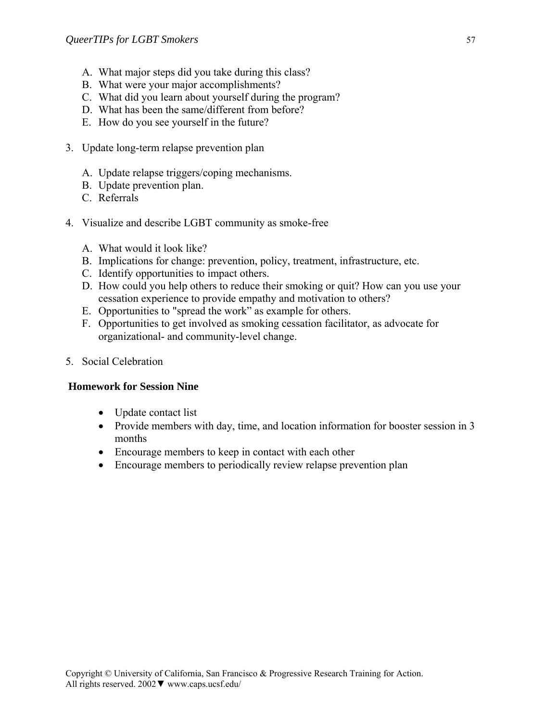- A. What major steps did you take during this class?
- B. What were your major accomplishments?
- C. What did you learn about yourself during the program?
- D. What has been the same/different from before?
- E. How do you see yourself in the future?
- 3. Update long-term relapse prevention plan
	- A. Update relapse triggers/coping mechanisms.
	- B. Update prevention plan.
	- C. Referrals
- 4. Visualize and describe LGBT community as smoke-free
	- A. What would it look like?
	- B. Implications for change: prevention, policy, treatment, infrastructure, etc.
	- C. Identify opportunities to impact others.
	- D. How could you help others to reduce their smoking or quit? How can you use your cessation experience to provide empathy and motivation to others?
	- E. Opportunities to "spread the work" as example for others.
	- F. Opportunities to get involved as smoking cessation facilitator, as advocate for organizational- and community-level change.
- 5. Social Celebration

#### **Homework for Session Nine**

- Update contact list
- Provide members with day, time, and location information for booster session in 3 months
- Encourage members to keep in contact with each other
- Encourage members to periodically review relapse prevention plan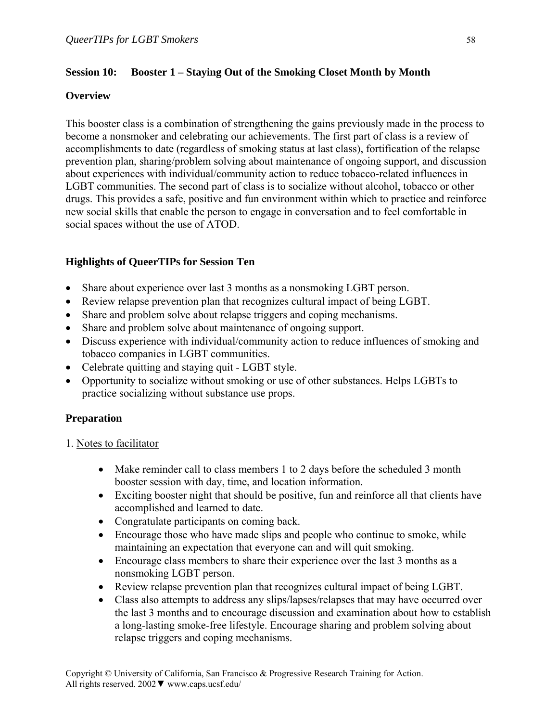### **Session 10: Booster 1 – Staying Out of the Smoking Closet Month by Month**

### **Overview**

This booster class is a combination of strengthening the gains previously made in the process to become a nonsmoker and celebrating our achievements. The first part of class is a review of accomplishments to date (regardless of smoking status at last class), fortification of the relapse prevention plan, sharing/problem solving about maintenance of ongoing support, and discussion about experiences with individual/community action to reduce tobacco-related influences in LGBT communities. The second part of class is to socialize without alcohol, tobacco or other drugs. This provides a safe, positive and fun environment within which to practice and reinforce new social skills that enable the person to engage in conversation and to feel comfortable in social spaces without the use of ATOD.

### **Highlights of QueerTIPs for Session Ten**

- Share about experience over last 3 months as a nonsmoking LGBT person.
- Review relapse prevention plan that recognizes cultural impact of being LGBT.
- Share and problem solve about relapse triggers and coping mechanisms.
- Share and problem solve about maintenance of ongoing support.
- Discuss experience with individual/community action to reduce influences of smoking and tobacco companies in LGBT communities.
- Celebrate quitting and staying quit LGBT style.
- Opportunity to socialize without smoking or use of other substances. Helps LGBTs to practice socializing without substance use props.

# **Preparation**

- 1. Notes to facilitator
	- Make reminder call to class members 1 to 2 days before the scheduled 3 month booster session with day, time, and location information.
	- Exciting booster night that should be positive, fun and reinforce all that clients have accomplished and learned to date.
	- Congratulate participants on coming back.
	- Encourage those who have made slips and people who continue to smoke, while maintaining an expectation that everyone can and will quit smoking.
	- Encourage class members to share their experience over the last 3 months as a nonsmoking LGBT person.
	- Review relapse prevention plan that recognizes cultural impact of being LGBT.
	- Class also attempts to address any slips/lapses/relapses that may have occurred over the last 3 months and to encourage discussion and examination about how to establish a long-lasting smoke-free lifestyle. Encourage sharing and problem solving about relapse triggers and coping mechanisms.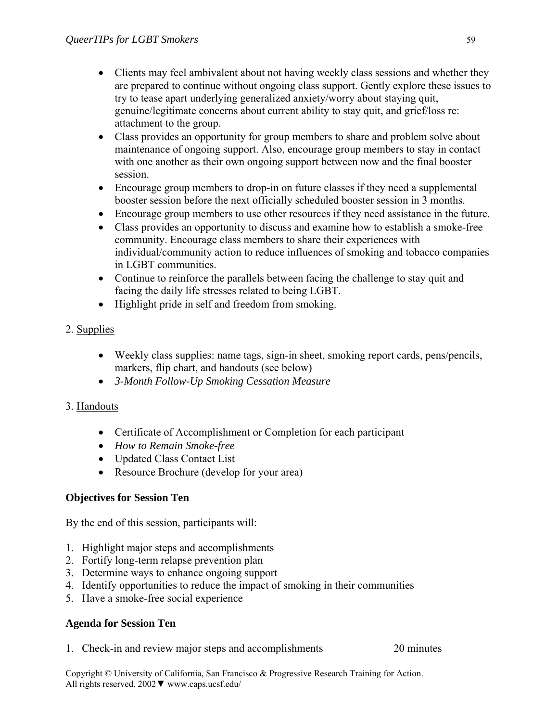- Clients may feel ambivalent about not having weekly class sessions and whether they are prepared to continue without ongoing class support. Gently explore these issues to try to tease apart underlying generalized anxiety/worry about staying quit, genuine/legitimate concerns about current ability to stay quit, and grief/loss re: attachment to the group.
- Class provides an opportunity for group members to share and problem solve about maintenance of ongoing support. Also, encourage group members to stay in contact with one another as their own ongoing support between now and the final booster session.
- Encourage group members to drop-in on future classes if they need a supplemental booster session before the next officially scheduled booster session in 3 months.
- Encourage group members to use other resources if they need assistance in the future.
- Class provides an opportunity to discuss and examine how to establish a smoke-free community. Encourage class members to share their experiences with individual/community action to reduce influences of smoking and tobacco companies in LGBT communities.
- Continue to reinforce the parallels between facing the challenge to stay quit and facing the daily life stresses related to being LGBT.
- Highlight pride in self and freedom from smoking.
- 2. Supplies
	- Weekly class supplies: name tags, sign-in sheet, smoking report cards, pens/pencils, markers, flip chart, and handouts (see below)
	- *3-Month Follow-Up Smoking Cessation Measure*
- 3. Handouts
	- Certificate of Accomplishment or Completion for each participant
	- *How to Remain Smoke-free*
	- Updated Class Contact List
	- Resource Brochure (develop for your area)

# **Objectives for Session Ten**

By the end of this session, participants will:

- 1. Highlight major steps and accomplishments
- 2. Fortify long-term relapse prevention plan
- 3. Determine ways to enhance ongoing support
- 4. Identify opportunities to reduce the impact of smoking in their communities
- 5. Have a smoke-free social experience

### **Agenda for Session Ten**

1. Check-in and review major steps and accomplishments 20 minutes

Copyright © University of California, San Francisco & Progressive Research Training for Action. All rights reserved. 2002▼ www.caps.ucsf.edu/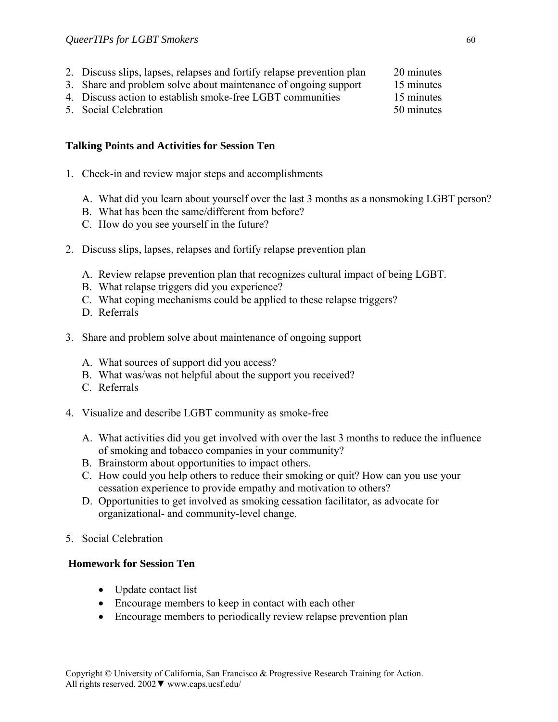- 2. Discuss slips, lapses, relapses and fortify relapse prevention plan 20 minutes
- 3. Share and problem solve about maintenance of ongoing support 15 minutes
- 4. Discuss action to establish smoke-free LGBT communities 15 minutes
- 5. Social Celebration 50 minutes

### **Talking Points and Activities for Session Ten**

- 1. Check-in and review major steps and accomplishments
	- A. What did you learn about yourself over the last 3 months as a nonsmoking LGBT person?
	- B. What has been the same/different from before?
	- C. How do you see yourself in the future?
- 2. Discuss slips, lapses, relapses and fortify relapse prevention plan
	- A. Review relapse prevention plan that recognizes cultural impact of being LGBT.
	- B. What relapse triggers did you experience?
	- C. What coping mechanisms could be applied to these relapse triggers?
	- D. Referrals
- 3. Share and problem solve about maintenance of ongoing support
	- A. What sources of support did you access?
	- B. What was/was not helpful about the support you received?
	- C. Referrals
- 4. Visualize and describe LGBT community as smoke-free
	- A. What activities did you get involved with over the last 3 months to reduce the influence of smoking and tobacco companies in your community?
	- B. Brainstorm about opportunities to impact others.
	- C. How could you help others to reduce their smoking or quit? How can you use your cessation experience to provide empathy and motivation to others?
	- D. Opportunities to get involved as smoking cessation facilitator, as advocate for organizational- and community-level change.
- 5. Social Celebration

#### **Homework for Session Ten**

- Update contact list
- Encourage members to keep in contact with each other
- Encourage members to periodically review relapse prevention plan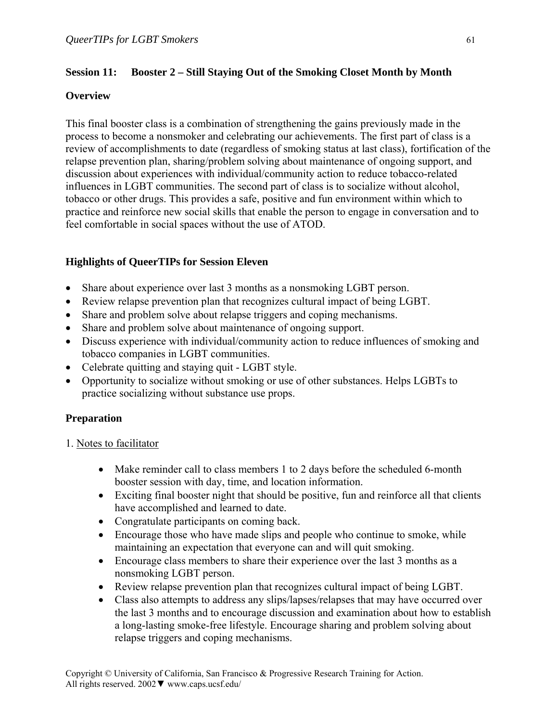### **Session 11: Booster 2 – Still Staying Out of the Smoking Closet Month by Month**

### **Overview**

This final booster class is a combination of strengthening the gains previously made in the process to become a nonsmoker and celebrating our achievements. The first part of class is a review of accomplishments to date (regardless of smoking status at last class), fortification of the relapse prevention plan, sharing/problem solving about maintenance of ongoing support, and discussion about experiences with individual/community action to reduce tobacco-related influences in LGBT communities. The second part of class is to socialize without alcohol, tobacco or other drugs. This provides a safe, positive and fun environment within which to practice and reinforce new social skills that enable the person to engage in conversation and to feel comfortable in social spaces without the use of ATOD.

# **Highlights of QueerTIPs for Session Eleven**

- Share about experience over last 3 months as a nonsmoking LGBT person.
- Review relapse prevention plan that recognizes cultural impact of being LGBT.
- Share and problem solve about relapse triggers and coping mechanisms.
- Share and problem solve about maintenance of ongoing support.
- Discuss experience with individual/community action to reduce influences of smoking and tobacco companies in LGBT communities.
- Celebrate quitting and staying quit LGBT style.
- Opportunity to socialize without smoking or use of other substances. Helps LGBTs to practice socializing without substance use props.

# **Preparation**

- 1. Notes to facilitator
	- Make reminder call to class members 1 to 2 days before the scheduled 6-month booster session with day, time, and location information.
	- Exciting final booster night that should be positive, fun and reinforce all that clients have accomplished and learned to date.
	- Congratulate participants on coming back.
	- Encourage those who have made slips and people who continue to smoke, while maintaining an expectation that everyone can and will quit smoking.
	- Encourage class members to share their experience over the last 3 months as a nonsmoking LGBT person.
	- Review relapse prevention plan that recognizes cultural impact of being LGBT.
	- Class also attempts to address any slips/lapses/relapses that may have occurred over the last 3 months and to encourage discussion and examination about how to establish a long-lasting smoke-free lifestyle. Encourage sharing and problem solving about relapse triggers and coping mechanisms.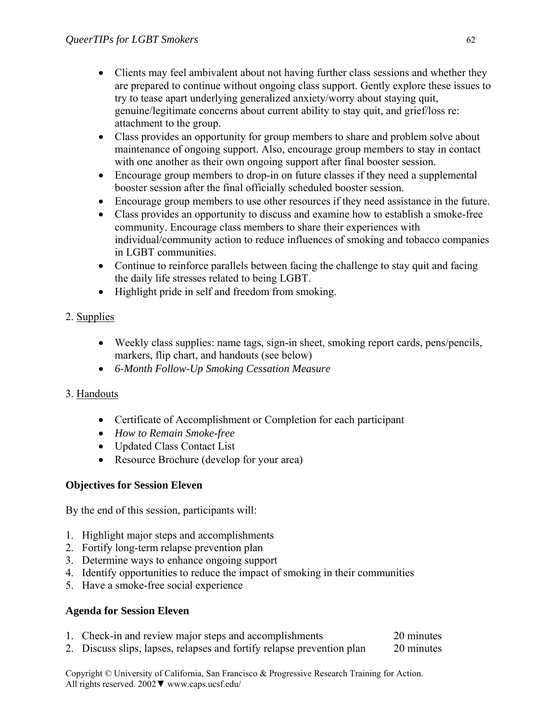- Clients may feel ambivalent about not having further class sessions and whether they are prepared to continue without ongoing class support. Gently explore these issues to try to tease apart underlying generalized anxiety/worry about staying quit, genuine/legitimate concerns about current ability to stay quit, and grief/loss re: attachment to the group.
- Class provides an opportunity for group members to share and problem solve about maintenance of ongoing support. Also, encourage group members to stay in contact with one another as their own ongoing support after final booster session.
- Encourage group members to drop-in on future classes if they need a supplemental booster session after the final officially scheduled booster session.
- Encourage group members to use other resources if they need assistance in the future.
- Class provides an opportunity to discuss and examine how to establish a smoke-free community. Encourage class members to share their experiences with individual/community action to reduce influences of smoking and tobacco companies in LGBT communities.
- Continue to reinforce parallels between facing the challenge to stay quit and facing the daily life stresses related to being LGBT.
- Highlight pride in self and freedom from smoking.

# 2. Supplies

- Weekly class supplies: name tags, sign-in sheet, smoking report cards, pens/pencils, markers, flip chart, and handouts (see below)
- *6-Month Follow-Up Smoking Cessation Measure*

# 3. Handouts

- Certificate of Accomplishment or Completion for each participant
- *How to Remain Smoke-free*
- Updated Class Contact List
- Resource Brochure (develop for your area)

# **Objectives for Session Eleven**

By the end of this session, participants will:

- 1. Highlight major steps and accomplishments
- 2. Fortify long-term relapse prevention plan
- 3. Determine ways to enhance ongoing support
- 4. Identify opportunities to reduce the impact of smoking in their communities
- 5. Have a smoke-free social experience

# **Agenda for Session Eleven**

- 1. Check-in and review major steps and accomplishments 20 minutes
- 2. Discuss slips, lapses, relapses and fortify relapse prevention plan 20 minutes

Copyright © University of California, San Francisco & Progressive Research Training for Action. All rights reserved. 2002▼ www.caps.ucsf.edu/